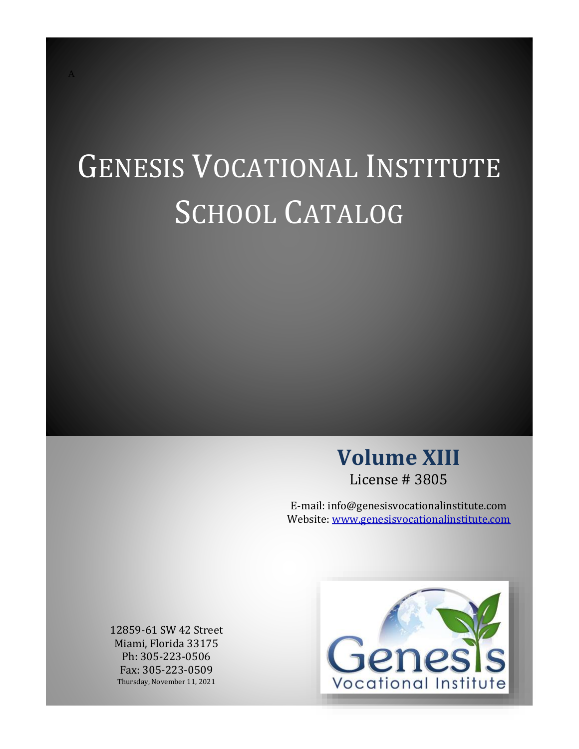# GENESIS VOCATIONAL INSTITUTE SCHOOL CATALOG

# **Volume XIII** License # 3805

E-mail: info@genesisvocationalinstitute.com Website: [www.genesisvocationalinstitute.com](http://www.genesisvocationalinstitute.com/)

12859-61 SW 42 Street Miami, Florida 33175 Ph: 305-223-0506 Fax: 305-223-0509 Thursday, November 11, 2021

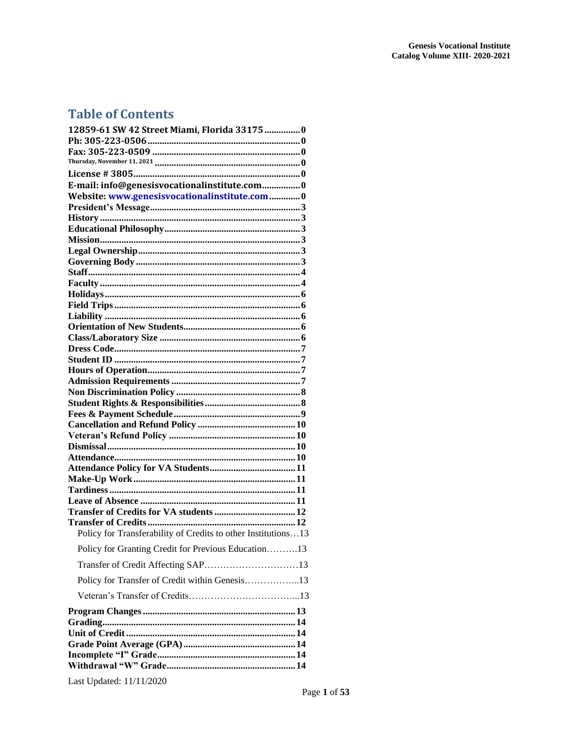# **Table of Contents**

| 12859-61 SW 42 Street Miami, Florida 33175 0                  |
|---------------------------------------------------------------|
|                                                               |
|                                                               |
|                                                               |
| E-mail: info@genesisvocationalinstitute.com0                  |
| Website: www.genesisvocationalinstitute.com0                  |
|                                                               |
|                                                               |
|                                                               |
|                                                               |
|                                                               |
|                                                               |
|                                                               |
|                                                               |
|                                                               |
|                                                               |
|                                                               |
|                                                               |
|                                                               |
|                                                               |
|                                                               |
|                                                               |
|                                                               |
|                                                               |
|                                                               |
|                                                               |
|                                                               |
|                                                               |
|                                                               |
|                                                               |
|                                                               |
|                                                               |
|                                                               |
| <b>Transfer of Credits</b>                                    |
| Policy for Transferability of Credits to other Institutions13 |
| Policy for Granting Credit for Previous Education13           |
| Transfer of Credit Affecting SAP13                            |
| Policy for Transfer of Credit within Genesis13                |
|                                                               |
|                                                               |
|                                                               |
|                                                               |
|                                                               |
|                                                               |
|                                                               |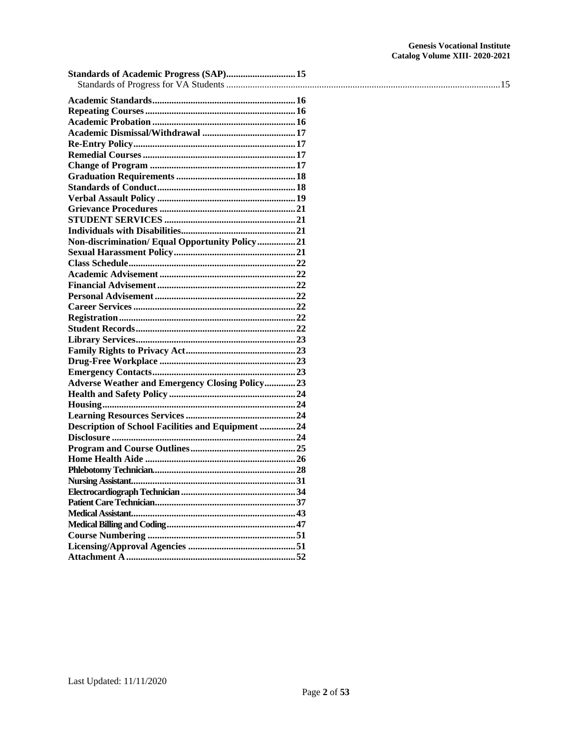| Standards of Academic Progress (SAP) 15                   |  |
|-----------------------------------------------------------|--|
|                                                           |  |
|                                                           |  |
|                                                           |  |
|                                                           |  |
|                                                           |  |
|                                                           |  |
|                                                           |  |
|                                                           |  |
|                                                           |  |
|                                                           |  |
|                                                           |  |
|                                                           |  |
|                                                           |  |
|                                                           |  |
| Non-discrimination/Equal Opportunity Policy21             |  |
|                                                           |  |
|                                                           |  |
|                                                           |  |
|                                                           |  |
|                                                           |  |
|                                                           |  |
|                                                           |  |
|                                                           |  |
|                                                           |  |
|                                                           |  |
|                                                           |  |
|                                                           |  |
| <b>Adverse Weather and Emergency Closing Policy23</b>     |  |
|                                                           |  |
|                                                           |  |
|                                                           |  |
| <b>Description of School Facilities and Equipment  24</b> |  |
|                                                           |  |
|                                                           |  |
|                                                           |  |
|                                                           |  |
|                                                           |  |
|                                                           |  |
|                                                           |  |
|                                                           |  |
|                                                           |  |
|                                                           |  |
|                                                           |  |
|                                                           |  |
|                                                           |  |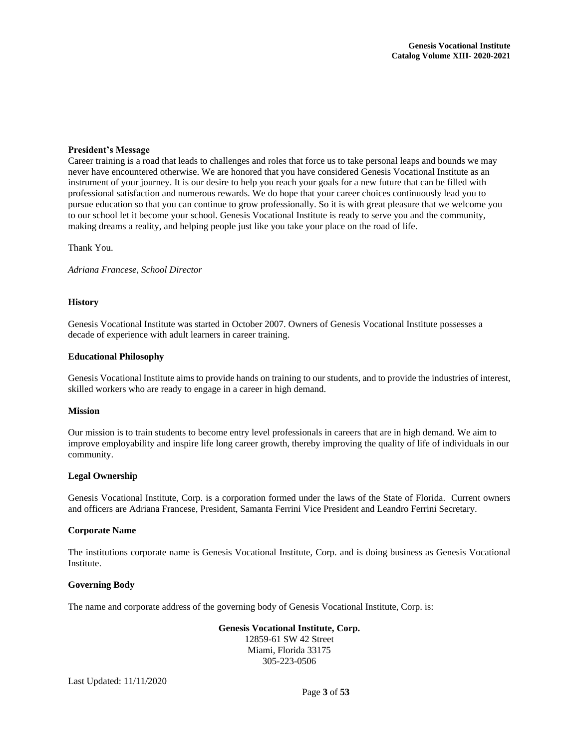#### <span id="page-3-0"></span>**President's Message**

Career training is a road that leads to challenges and roles that force us to take personal leaps and bounds we may never have encountered otherwise. We are honored that you have considered Genesis Vocational Institute as an instrument of your journey. It is our desire to help you reach your goals for a new future that can be filled with professional satisfaction and numerous rewards. We do hope that your career choices continuously lead you to pursue education so that you can continue to grow professionally. So it is with great pleasure that we welcome you to our school let it become your school. Genesis Vocational Institute is ready to serve you and the community, making dreams a reality, and helping people just like you take your place on the road of life.

Thank You.

*Adriana Francese, School Director*

#### <span id="page-3-1"></span>**History**

Genesis Vocational Institute was started in October 2007. Owners of Genesis Vocational Institute possesses a decade of experience with adult learners in career training.

#### <span id="page-3-2"></span>**Educational Philosophy**

Genesis Vocational Institute aims to provide hands on training to our students, and to provide the industries of interest, skilled workers who are ready to engage in a career in high demand.

#### <span id="page-3-3"></span>**Mission**

Our mission is to train students to become entry level professionals in careers that are in high demand. We aim to improve employability and inspire life long career growth, thereby improving the quality of life of individuals in our community.

#### <span id="page-3-4"></span>**Legal Ownership**

Genesis Vocational Institute, Corp. is a corporation formed under the laws of the State of Florida. Current owners and officers are Adriana Francese, President, Samanta Ferrini Vice President and Leandro Ferrini Secretary.

#### **Corporate Name**

The institutions corporate name is Genesis Vocational Institute, Corp. and is doing business as Genesis Vocational Institute.

#### <span id="page-3-5"></span>**Governing Body**

The name and corporate address of the governing body of Genesis Vocational Institute, Corp. is:

**Genesis Vocational Institute, Corp.** 12859-61 SW 42 Street Miami, Florida 33175 305-223-0506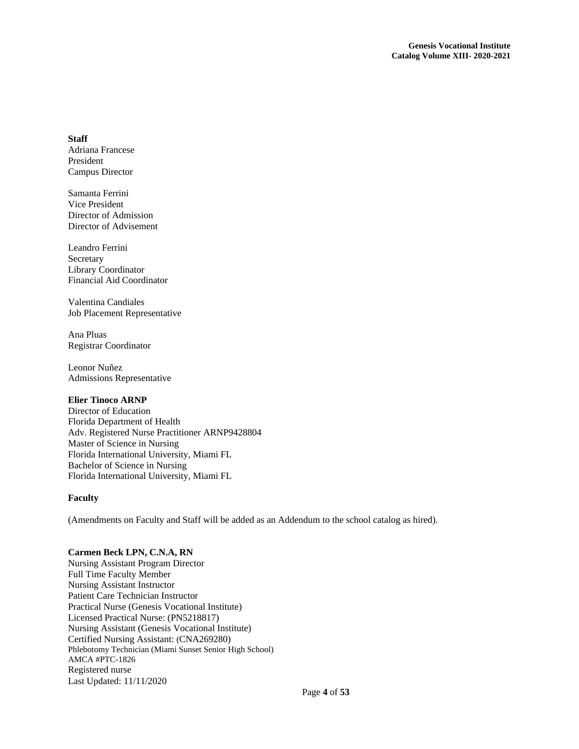#### <span id="page-4-0"></span>**Staff**

Adriana Francese President Campus Director

Samanta Ferrini Vice President Director of Admission Director of Advisement

Leandro Ferrini Secretary Library Coordinator Financial Aid Coordinator

Valentina Candiales Job Placement Representative

Ana Pluas Registrar Coordinator

Leonor Nuñez Admissions Representative

# **Elier Tinoco ARNP**

Director of Education Florida Department of Health Adv. Registered Nurse Practitioner ARNP9428804 Master of Science in Nursing Florida International University, Miami FL Bachelor of Science in Nursing Florida International University, Miami FL

# <span id="page-4-1"></span>**Faculty**

(Amendments on Faculty and Staff will be added as an Addendum to the school catalog as hired).

# **Carmen Beck LPN, C.N.A, RN**

Last Updated: 11/11/2020 Nursing Assistant Program Director Full Time Faculty Member Nursing Assistant Instructor Patient Care Technician Instructor Practical Nurse (Genesis Vocational Institute) Licensed Practical Nurse: (PN5218817) Nursing Assistant (Genesis Vocational Institute) Certified Nursing Assistant: (CNA269280) Phlebotomy Technician (Miami Sunset Senior High School) AMCA #PTC-1826 Registered nurse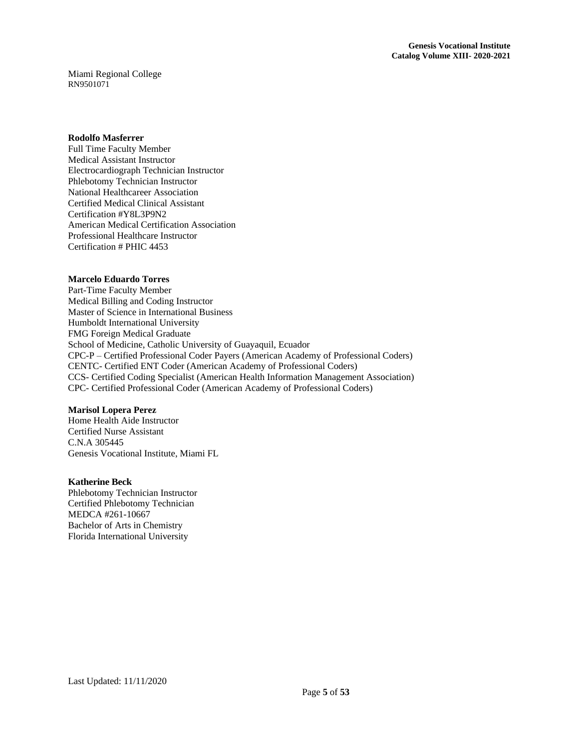Miami Regional College RN9501071

#### **Rodolfo Masferrer**

Full Time Faculty Member Medical Assistant Instructor Electrocardiograph Technician Instructor Phlebotomy Technician Instructor National Healthcareer Association Certified Medical Clinical Assistant Certification #Y8L3P9N2 American Medical Certification Association Professional Healthcare Instructor Certification # PHIC 4453

#### **Marcelo Eduardo Torres**

Part-Time Faculty Member Medical Billing and Coding Instructor Master of Science in International Business Humboldt International University FMG Foreign Medical Graduate School of Medicine, Catholic University of Guayaquil, Ecuador CPC-P – Certified Professional Coder Payers (American Academy of Professional Coders) CENTC- Certified ENT Coder (American Academy of Professional Coders) CCS- Certified Coding Specialist (American Health Information Management Association) CPC- Certified Professional Coder (American Academy of Professional Coders)

#### **Marisol Lopera Perez**

Home Health Aide Instructor Certified Nurse Assistant C.N.A 305445 Genesis Vocational Institute, Miami FL

#### **Katherine Beck**

Phlebotomy Technician Instructor Certified Phlebotomy Technician MEDCA #261-10667 Bachelor of Arts in Chemistry Florida International University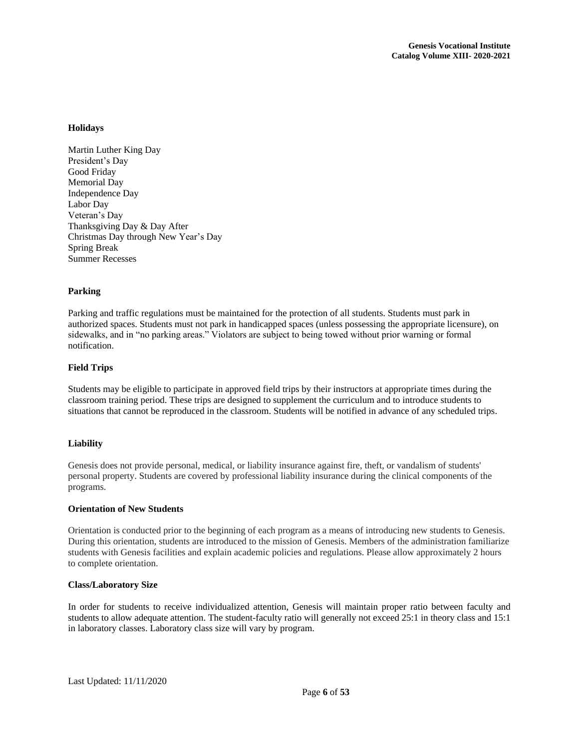# <span id="page-6-0"></span>**Holidays**

Martin Luther King Day President's Day Good Friday Memorial Day Independence Day Labor Day Veteran's Day Thanksgiving Day & Day After Christmas Day through New Year's Day Spring Break Summer Recesses

# **Parking**

Parking and traffic regulations must be maintained for the protection of all students. Students must park in authorized spaces. Students must not park in handicapped spaces (unless possessing the appropriate licensure), on sidewalks, and in "no parking areas." Violators are subject to being towed without prior warning or formal notification.

# <span id="page-6-1"></span>**Field Trips**

Students may be eligible to participate in approved field trips by their instructors at appropriate times during the classroom training period. These trips are designed to supplement the curriculum and to introduce students to situations that cannot be reproduced in the classroom. Students will be notified in advance of any scheduled trips.

#### <span id="page-6-2"></span>**Liability**

Genesis does not provide personal, medical, or liability insurance against fire, theft, or vandalism of students' personal property. Students are covered by professional liability insurance during the clinical components of the programs.

#### <span id="page-6-3"></span>**Orientation of New Students**

Orientation is conducted prior to the beginning of each program as a means of introducing new students to Genesis. During this orientation, students are introduced to the mission of Genesis. Members of the administration familiarize students with Genesis facilities and explain academic policies and regulations. Please allow approximately 2 hours to complete orientation.

#### <span id="page-6-4"></span>**Class/Laboratory Size**

In order for students to receive individualized attention, Genesis will maintain proper ratio between faculty and students to allow adequate attention. The student-faculty ratio will generally not exceed 25:1 in theory class and 15:1 in laboratory classes. Laboratory class size will vary by program.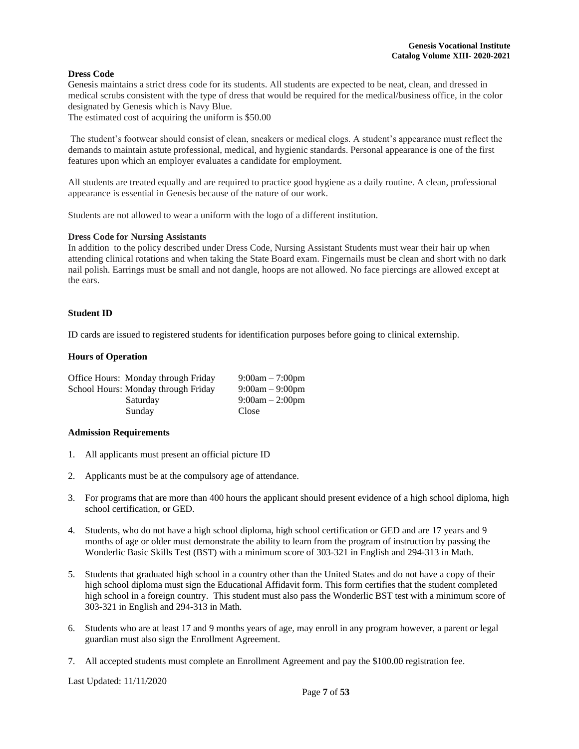#### <span id="page-7-0"></span>**Dress Code**

Genesis maintains a strict dress code for its students. All students are expected to be neat, clean, and dressed in medical scrubs consistent with the type of dress that would be required for the medical/business office, in the color designated by Genesis which is Navy Blue.

The estimated cost of acquiring the uniform is \$50.00

The student's footwear should consist of clean, sneakers or medical clogs. A student's appearance must reflect the demands to maintain astute professional, medical, and hygienic standards. Personal appearance is one of the first features upon which an employer evaluates a candidate for employment.

All students are treated equally and are required to practice good hygiene as a daily routine. A clean, professional appearance is essential in Genesis because of the nature of our work.

Students are not allowed to wear a uniform with the logo of a different institution.

#### **Dress Code for Nursing Assistants**

In addition to the policy described under Dress Code, Nursing Assistant Students must wear their hair up when attending clinical rotations and when taking the State Board exam. Fingernails must be clean and short with no dark nail polish. Earrings must be small and not dangle, hoops are not allowed. No face piercings are allowed except at the ears.

#### <span id="page-7-1"></span>**Student ID**

ID cards are issued to registered students for identification purposes before going to clinical externship.

#### <span id="page-7-2"></span>**Hours of Operation**

| Office Hours: Monday through Friday | $9:00am - 7:00pm$ |
|-------------------------------------|-------------------|
| School Hours: Monday through Friday | $9:00am - 9:00pm$ |
| Saturday                            | $9:00am - 2:00pm$ |
| Sunday                              | Close             |

#### <span id="page-7-3"></span>**Admission Requirements**

- 1. All applicants must present an official picture ID
- 2. Applicants must be at the compulsory age of attendance.
- 3. For programs that are more than 400 hours the applicant should present evidence of a high school diploma, high school certification, or GED.
- 4. Students, who do not have a high school diploma, high school certification or GED and are 17 years and 9 months of age or older must demonstrate the ability to learn from the program of instruction by passing the Wonderlic Basic Skills Test (BST) with a minimum score of 303-321 in English and 294-313 in Math.
- 5. Students that graduated high school in a country other than the United States and do not have a copy of their high school diploma must sign the Educational Affidavit form. This form certifies that the student completed high school in a foreign country. This student must also pass the Wonderlic BST test with a minimum score of 303-321 in English and 294-313 in Math.
- 6. Students who are at least 17 and 9 months years of age, may enroll in any program however, a parent or legal guardian must also sign the Enrollment Agreement.
- 7. All accepted students must complete an Enrollment Agreement and pay the \$100.00 registration fee.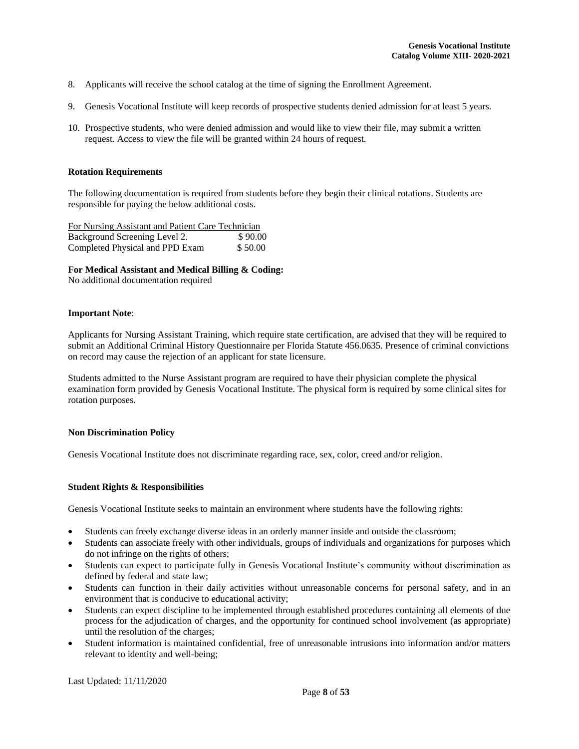- 8. Applicants will receive the school catalog at the time of signing the Enrollment Agreement.
- 9. Genesis Vocational Institute will keep records of prospective students denied admission for at least 5 years.
- 10. Prospective students, who were denied admission and would like to view their file, may submit a written request. Access to view the file will be granted within 24 hours of request.

## **Rotation Requirements**

The following documentation is required from students before they begin their clinical rotations. Students are responsible for paying the below additional costs.

For Nursing Assistant and Patient Care Technician Background Screening Level 2. \$90.00 Completed Physical and PPD Exam \$ 50.00

**For Medical Assistant and Medical Billing & Coding:**

No additional documentation required

#### **Important Note**:

Applicants for Nursing Assistant Training, which require state certification, are advised that they will be required to submit an Additional Criminal History Questionnaire per Florida Statute 456.0635. Presence of criminal convictions on record may cause the rejection of an applicant for state licensure.

Students admitted to the Nurse Assistant program are required to have their physician complete the physical examination form provided by Genesis Vocational Institute. The physical form is required by some clinical sites for rotation purposes.

#### <span id="page-8-0"></span>**Non Discrimination Policy**

Genesis Vocational Institute does not discriminate regarding race, sex, color, creed and/or religion.

# <span id="page-8-1"></span>**Student Rights & Responsibilities**

Genesis Vocational Institute seeks to maintain an environment where students have the following rights:

- Students can freely exchange diverse ideas in an orderly manner inside and outside the classroom;
- Students can associate freely with other individuals, groups of individuals and organizations for purposes which do not infringe on the rights of others;
- Students can expect to participate fully in Genesis Vocational Institute's community without discrimination as defined by federal and state law;
- Students can function in their daily activities without unreasonable concerns for personal safety, and in an environment that is conducive to educational activity;
- Students can expect discipline to be implemented through established procedures containing all elements of due process for the adjudication of charges, and the opportunity for continued school involvement (as appropriate) until the resolution of the charges;
- Student information is maintained confidential, free of unreasonable intrusions into information and/or matters relevant to identity and well-being;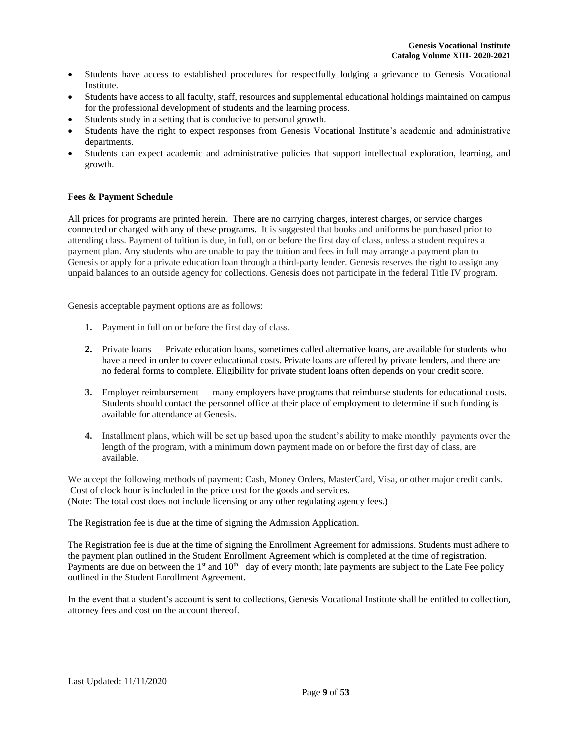- Students have access to established procedures for respectfully lodging a grievance to Genesis Vocational Institute.
- Students have access to all faculty, staff, resources and supplemental educational holdings maintained on campus for the professional development of students and the learning process.
- Students study in a setting that is conducive to personal growth.
- Students have the right to expect responses from Genesis Vocational Institute's academic and administrative departments.
- Students can expect academic and administrative policies that support intellectual exploration, learning, and growth.

# <span id="page-9-0"></span>**Fees & Payment Schedule**

All prices for programs are printed herein. There are no carrying charges, interest charges, or service charges connected or charged with any of these programs. It is suggested that books and uniforms be purchased prior to attending class. Payment of tuition is due, in full, on or before the first day of class, unless a student requires a payment plan. Any students who are unable to pay the tuition and fees in full may arrange a payment plan to Genesis or apply for a private education loan through a third-party lender. Genesis reserves the right to assign any unpaid balances to an outside agency for collections. Genesis does not participate in the federal Title IV program.

Genesis acceptable payment options are as follows:

- **1.** Payment in full on or before the first day of class.
- **2.** Private loans Private education loans, sometimes called alternative loans, are available for students who have a need in order to cover educational costs. Private loans are offered by private lenders, and there are no federal forms to complete. Eligibility for private student loans often depends on your credit score.
- **3.** Employer reimbursement many employers have programs that reimburse students for educational costs. Students should contact the personnel office at their place of employment to determine if such funding is available for attendance at Genesis.
- **4.** Installment plans, which will be set up based upon the student's ability to make monthly payments over the length of the program, with a minimum down payment made on or before the first day of class, are available.

We accept the following methods of payment: Cash, Money Orders, MasterCard, Visa, or other major credit cards. Cost of clock hour is included in the price cost for the goods and services. (Note: The total cost does not include licensing or any other regulating agency fees.)

The Registration fee is due at the time of signing the Admission Application.

The Registration fee is due at the time of signing the Enrollment Agreement for admissions. Students must adhere to the payment plan outlined in the Student Enrollment Agreement which is completed at the time of registration. Payments are due on between the  $1<sup>st</sup>$  and  $10<sup>th</sup>$  day of every month; late payments are subject to the Late Fee policy outlined in the Student Enrollment Agreement.

In the event that a student's account is sent to collections, Genesis Vocational Institute shall be entitled to collection, attorney fees and cost on the account thereof.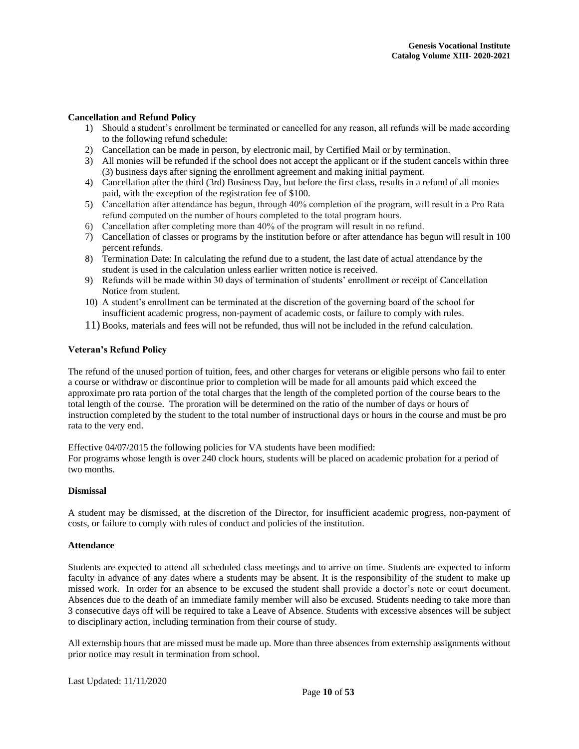## <span id="page-10-0"></span>**Cancellation and Refund Policy**

- 1) Should a student's enrollment be terminated or cancelled for any reason, all refunds will be made according to the following refund schedule:
- 2) Cancellation can be made in person, by electronic mail, by Certified Mail or by termination.
- 3) All monies will be refunded if the school does not accept the applicant or if the student cancels within three (3) business days after signing the enrollment agreement and making initial payment.
- 4) Cancellation after the third (3rd) Business Day, but before the first class, results in a refund of all monies paid, with the exception of the registration fee of \$100.
- 5) Cancellation after attendance has begun, through 40% completion of the program, will result in a Pro Rata refund computed on the number of hours completed to the total program hours.
- 6) Cancellation after completing more than 40% of the program will result in no refund.
- 7) Cancellation of classes or programs by the institution before or after attendance has begun will result in 100 percent refunds.
- 8) Termination Date: In calculating the refund due to a student, the last date of actual attendance by the student is used in the calculation unless earlier written notice is received.
- 9) Refunds will be made within 30 days of termination of students' enrollment or receipt of Cancellation Notice from student.
- 10) A student's enrollment can be terminated at the discretion of the governing board of the school for insufficient academic progress, non-payment of academic costs, or failure to comply with rules.
- 11) Books, materials and fees will not be refunded, thus will not be included in the refund calculation.

#### <span id="page-10-1"></span>**Veteran's Refund Policy**

The refund of the unused portion of tuition, fees, and other charges for veterans or eligible persons who fail to enter a course or withdraw or discontinue prior to completion will be made for all amounts paid which exceed the approximate pro rata portion of the total charges that the length of the completed portion of the course bears to the total length of the course. The proration will be determined on the ratio of the number of days or hours of instruction completed by the student to the total number of instructional days or hours in the course and must be pro rata to the very end.

Effective 04/07/2015 the following policies for VA students have been modified: For programs whose length is over 240 clock hours, students will be placed on academic probation for a period of two months.

#### <span id="page-10-2"></span>**Dismissal**

A student may be dismissed, at the discretion of the Director, for insufficient academic progress, non-payment of costs, or failure to comply with rules of conduct and policies of the institution.

#### <span id="page-10-3"></span>**Attendance**

Students are expected to attend all scheduled class meetings and to arrive on time. Students are expected to inform faculty in advance of any dates where a students may be absent. It is the responsibility of the student to make up missed work. In order for an absence to be excused the student shall provide a doctor's note or court document. Absences due to the death of an immediate family member will also be excused. Students needing to take more than 3 consecutive days off will be required to take a Leave of Absence. Students with excessive absences will be subject to disciplinary action, including termination from their course of study.

All externship hours that are missed must be made up. More than three absences from externship assignments without prior notice may result in termination from school.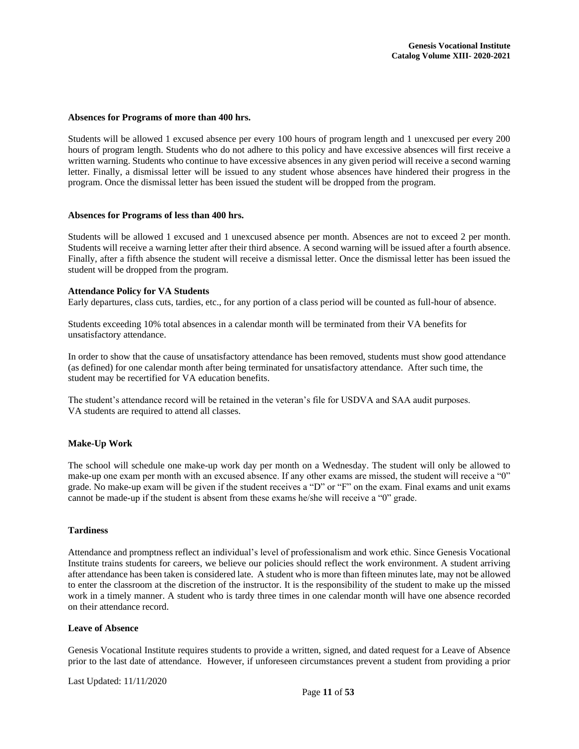#### **Absences for Programs of more than 400 hrs.**

Students will be allowed 1 excused absence per every 100 hours of program length and 1 unexcused per every 200 hours of program length. Students who do not adhere to this policy and have excessive absences will first receive a written warning. Students who continue to have excessive absences in any given period will receive a second warning letter. Finally, a dismissal letter will be issued to any student whose absences have hindered their progress in the program. Once the dismissal letter has been issued the student will be dropped from the program.

#### **Absences for Programs of less than 400 hrs.**

Students will be allowed 1 excused and 1 unexcused absence per month. Absences are not to exceed 2 per month. Students will receive a warning letter after their third absence. A second warning will be issued after a fourth absence. Finally, after a fifth absence the student will receive a dismissal letter. Once the dismissal letter has been issued the student will be dropped from the program.

#### <span id="page-11-0"></span>**Attendance Policy for VA Students**

Early departures, class cuts, tardies, etc., for any portion of a class period will be counted as full-hour of absence.

Students exceeding 10% total absences in a calendar month will be terminated from their VA benefits for unsatisfactory attendance.

In order to show that the cause of unsatisfactory attendance has been removed, students must show good attendance (as defined) for one calendar month after being terminated for unsatisfactory attendance. After such time, the student may be recertified for VA education benefits.

The student's attendance record will be retained in the veteran's file for USDVA and SAA audit purposes. VA students are required to attend all classes.

#### <span id="page-11-1"></span>**Make-Up Work**

The school will schedule one make-up work day per month on a Wednesday. The student will only be allowed to make-up one exam per month with an excused absence. If any other exams are missed, the student will receive a "0" grade. No make-up exam will be given if the student receives a "D" or "F" on the exam. Final exams and unit exams cannot be made-up if the student is absent from these exams he/she will receive a "0" grade.

# <span id="page-11-2"></span>**Tardiness**

Attendance and promptness reflect an individual's level of professionalism and work ethic. Since Genesis Vocational Institute trains students for careers, we believe our policies should reflect the work environment. A student arriving after attendance has been taken is considered late. A student who is more than fifteen minutes late, may not be allowed to enter the classroom at the discretion of the instructor. It is the responsibility of the student to make up the missed work in a timely manner. A student who is tardy three times in one calendar month will have one absence recorded on their attendance record.

#### <span id="page-11-3"></span>**Leave of Absence**

Genesis Vocational Institute requires students to provide a written, signed, and dated request for a Leave of Absence prior to the last date of attendance. However, if unforeseen circumstances prevent a student from providing a prior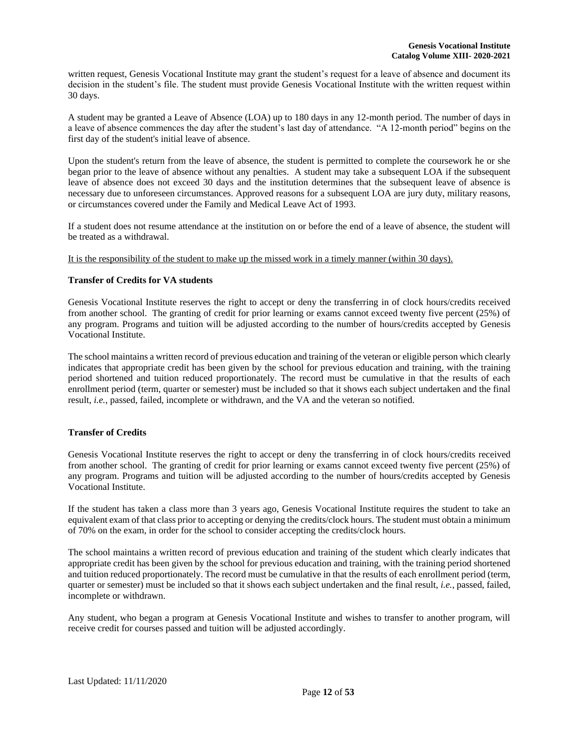written request, Genesis Vocational Institute may grant the student's request for a leave of absence and document its decision in the student's file. The student must provide Genesis Vocational Institute with the written request within 30 days.

A student may be granted a Leave of Absence (LOA) up to 180 days in any 12-month period. The number of days in a leave of absence commences the day after the student's last day of attendance. "A 12-month period" begins on the first day of the student's initial leave of absence.

Upon the student's return from the leave of absence, the student is permitted to complete the coursework he or she began prior to the leave of absence without any penalties. A student may take a subsequent LOA if the subsequent leave of absence does not exceed 30 days and the institution determines that the subsequent leave of absence is necessary due to unforeseen circumstances. Approved reasons for a subsequent LOA are jury duty, military reasons, or circumstances covered under the Family and Medical Leave Act of 1993.

If a student does not resume attendance at the institution on or before the end of a leave of absence, the student will be treated as a withdrawal.

It is the responsibility of the student to make up the missed work in a timely manner (within 30 days).

# <span id="page-12-0"></span>**Transfer of Credits for VA students**

Genesis Vocational Institute reserves the right to accept or deny the transferring in of clock hours/credits received from another school. The granting of credit for prior learning or exams cannot exceed twenty five percent (25%) of any program. Programs and tuition will be adjusted according to the number of hours/credits accepted by Genesis Vocational Institute.

The school maintains a written record of previous education and training of the veteran or eligible person which clearly indicates that appropriate credit has been given by the school for previous education and training, with the training period shortened and tuition reduced proportionately. The record must be cumulative in that the results of each enrollment period (term, quarter or semester) must be included so that it shows each subject undertaken and the final result, *i.e.*, passed, failed, incomplete or withdrawn, and the VA and the veteran so notified.

# <span id="page-12-1"></span>**Transfer of Credits**

Genesis Vocational Institute reserves the right to accept or deny the transferring in of clock hours/credits received from another school. The granting of credit for prior learning or exams cannot exceed twenty five percent (25%) of any program. Programs and tuition will be adjusted according to the number of hours/credits accepted by Genesis Vocational Institute.

If the student has taken a class more than 3 years ago, Genesis Vocational Institute requires the student to take an equivalent exam of that class prior to accepting or denying the credits/clock hours. The student must obtain a minimum of 70% on the exam, in order for the school to consider accepting the credits/clock hours.

The school maintains a written record of previous education and training of the student which clearly indicates that appropriate credit has been given by the school for previous education and training, with the training period shortened and tuition reduced proportionately. The record must be cumulative in that the results of each enrollment period (term, quarter or semester) must be included so that it shows each subject undertaken and the final result, *i.e.*, passed, failed, incomplete or withdrawn.

Any student, who began a program at Genesis Vocational Institute and wishes to transfer to another program, will receive credit for courses passed and tuition will be adjusted accordingly.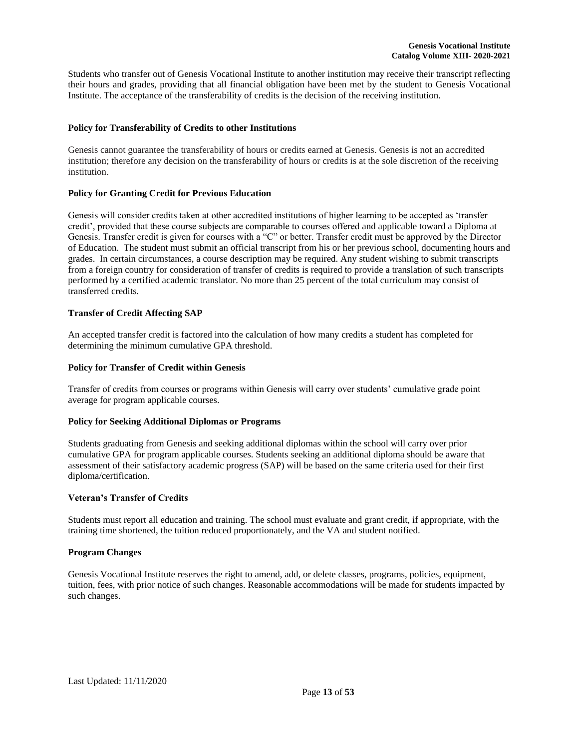Students who transfer out of Genesis Vocational Institute to another institution may receive their transcript reflecting their hours and grades, providing that all financial obligation have been met by the student to Genesis Vocational Institute. The acceptance of the transferability of credits is the decision of the receiving institution.

# <span id="page-13-0"></span>**Policy for Transferability of Credits to other Institutions**

Genesis cannot guarantee the transferability of hours or credits earned at Genesis. Genesis is not an accredited institution; therefore any decision on the transferability of hours or credits is at the sole discretion of the receiving institution.

#### <span id="page-13-1"></span>**Policy for Granting Credit for Previous Education**

Genesis will consider credits taken at other accredited institutions of higher learning to be accepted as 'transfer credit', provided that these course subjects are comparable to courses offered and applicable toward a Diploma at Genesis. Transfer credit is given for courses with a "C" or better. Transfer credit must be approved by the Director of Education. The student must submit an official transcript from his or her previous school, documenting hours and grades. In certain circumstances, a course description may be required. Any student wishing to submit transcripts from a foreign country for consideration of transfer of credits is required to provide a translation of such transcripts performed by a certified academic translator. No more than 25 percent of the total curriculum may consist of transferred credits.

# <span id="page-13-2"></span>**Transfer of Credit Affecting SAP**

An accepted transfer credit is factored into the calculation of how many credits a student has completed for determining the minimum cumulative GPA threshold.

# <span id="page-13-3"></span>**Policy for Transfer of Credit within Genesis**

Transfer of credits from courses or programs within Genesis will carry over students' cumulative grade point average for program applicable courses.

#### **Policy for Seeking Additional Diplomas or Programs**

Students graduating from Genesis and seeking additional diplomas within the school will carry over prior cumulative GPA for program applicable courses. Students seeking an additional diploma should be aware that assessment of their satisfactory academic progress (SAP) will be based on the same criteria used for their first diploma/certification.

#### <span id="page-13-4"></span>**Veteran's Transfer of Credits**

Students must report all education and training. The school must evaluate and grant credit, if appropriate, with the training time shortened, the tuition reduced proportionately, and the VA and student notified.

#### <span id="page-13-5"></span>**Program Changes**

Genesis Vocational Institute reserves the right to amend, add, or delete classes, programs, policies, equipment, tuition, fees, with prior notice of such changes. Reasonable accommodations will be made for students impacted by such changes.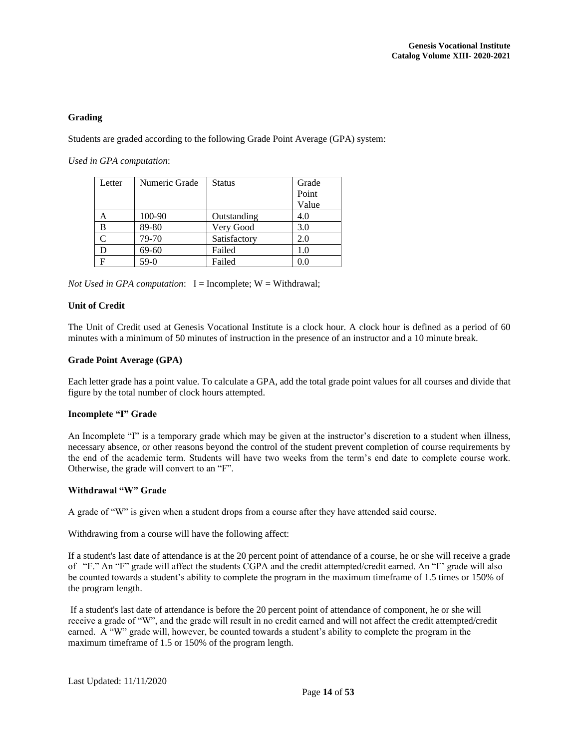# <span id="page-14-0"></span>**Grading**

Students are graded according to the following Grade Point Average (GPA) system:

*Used in GPA computation*:

| Letter | Numeric Grade | <b>Status</b> | Grade |
|--------|---------------|---------------|-------|
|        |               |               | Point |
|        |               |               | Value |
| A      | 100-90        | Outstanding   | 4.0   |
| B      | 89-80         | Very Good     | 3.0   |
|        | 79-70         | Satisfactory  | 2.0   |
| D      | 69-60         | Failed        | 1.0   |
| F      | $59-0$        | Failed        | 0.0   |

*Not Used in GPA computation*:  $I = Incomplete$ ;  $W = Withdrawal$ ;

# <span id="page-14-1"></span>**Unit of Credit**

The Unit of Credit used at Genesis Vocational Institute is a clock hour. A clock hour is defined as a period of 60 minutes with a minimum of 50 minutes of instruction in the presence of an instructor and a 10 minute break.

#### <span id="page-14-2"></span>**Grade Point Average (GPA)**

Each letter grade has a point value. To calculate a GPA, add the total grade point values for all courses and divide that figure by the total number of clock hours attempted.

#### <span id="page-14-3"></span>**Incomplete "I" Grade**

An Incomplete "I" is a temporary grade which may be given at the instructor's discretion to a student when illness, necessary absence, or other reasons beyond the control of the student prevent completion of course requirements by the end of the academic term. Students will have two weeks from the term's end date to complete course work. Otherwise, the grade will convert to an "F".

#### <span id="page-14-4"></span>**Withdrawal "W" Grade**

A grade of "W" is given when a student drops from a course after they have attended said course.

Withdrawing from a course will have the following affect:

If a student's last date of attendance is at the 20 percent point of attendance of a course, he or she will receive a grade of "F." An "F" grade will affect the students CGPA and the credit attempted/credit earned. An "F' grade will also be counted towards a student's ability to complete the program in the maximum timeframe of 1.5 times or 150% of the program length.

If a student's last date of attendance is before the 20 percent point of attendance of component, he or she will receive a grade of "W", and the grade will result in no credit earned and will not affect the credit attempted/credit earned. A "W" grade will, however, be counted towards a student's ability to complete the program in the maximum timeframe of 1.5 or 150% of the program length.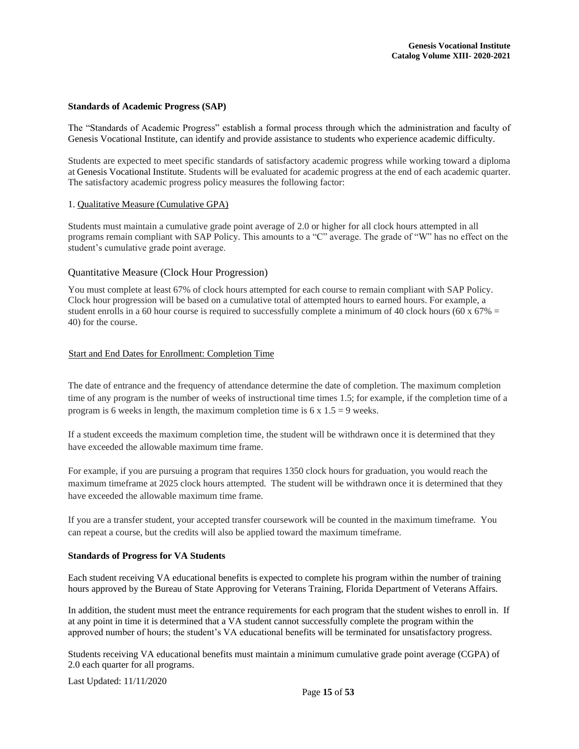# <span id="page-15-0"></span>**Standards of Academic Progress (SAP)**

The "Standards of Academic Progress" establish a formal process through which the administration and faculty of Genesis Vocational Institute, can identify and provide assistance to students who experience academic difficulty.

Students are expected to meet specific standards of satisfactory academic progress while working toward a diploma at Genesis Vocational Institute. Students will be evaluated for academic progress at the end of each academic quarter. The satisfactory academic progress policy measures the following factor:

#### 1. Qualitative Measure (Cumulative GPA)

Students must maintain a cumulative grade point average of 2.0 or higher for all clock hours attempted in all programs remain compliant with SAP Policy. This amounts to a "C" average. The grade of "W" has no effect on the student's cumulative grade point average.

# Quantitative Measure (Clock Hour Progression)

You must complete at least 67% of clock hours attempted for each course to remain compliant with SAP Policy. Clock hour progression will be based on a cumulative total of attempted hours to earned hours. For example, a student enrolls in a 60 hour course is required to successfully complete a minimum of 40 clock hours (60 x  $67\%$  = 40) for the course.

# Start and End Dates for Enrollment: Completion Time

The date of entrance and the frequency of attendance determine the date of completion. The maximum completion time of any program is the number of weeks of instructional time times 1.5; for example, if the completion time of a program is 6 weeks in length, the maximum completion time is  $6 \times 1.5 = 9$  weeks.

If a student exceeds the maximum completion time, the student will be withdrawn once it is determined that they have exceeded the allowable maximum time frame.

For example, if you are pursuing a program that requires 1350 clock hours for graduation, you would reach the maximum timeframe at 2025 clock hours attempted. The student will be withdrawn once it is determined that they have exceeded the allowable maximum time frame.

If you are a transfer student, your accepted transfer coursework will be counted in the maximum timeframe. You can repeat a course, but the credits will also be applied toward the maximum timeframe.

# <span id="page-15-1"></span>**Standards of Progress for VA Students**

Each student receiving VA educational benefits is expected to complete his program within the number of training hours approved by the Bureau of State Approving for Veterans Training, Florida Department of Veterans Affairs.

In addition, the student must meet the entrance requirements for each program that the student wishes to enroll in. If at any point in time it is determined that a VA student cannot successfully complete the program within the approved number of hours; the student's VA educational benefits will be terminated for unsatisfactory progress.

Students receiving VA educational benefits must maintain a minimum cumulative grade point average (CGPA) of 2.0 each quarter for all programs.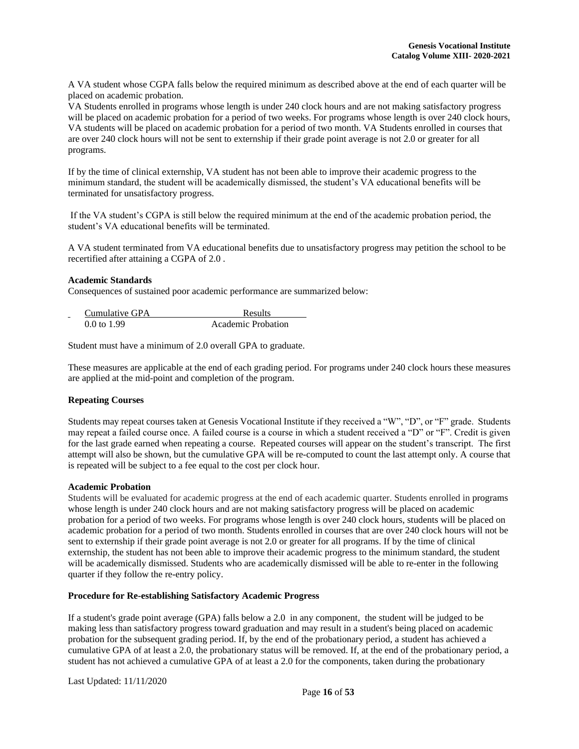A VA student whose CGPA falls below the required minimum as described above at the end of each quarter will be placed on academic probation.

VA Students enrolled in programs whose length is under 240 clock hours and are not making satisfactory progress will be placed on academic probation for a period of two weeks. For programs whose length is over 240 clock hours, VA students will be placed on academic probation for a period of two month. VA Students enrolled in courses that are over 240 clock hours will not be sent to externship if their grade point average is not 2.0 or greater for all programs.

If by the time of clinical externship, VA student has not been able to improve their academic progress to the minimum standard, the student will be academically dismissed, the student's VA educational benefits will be terminated for unsatisfactory progress.

If the VA student's CGPA is still below the required minimum at the end of the academic probation period, the student's VA educational benefits will be terminated.

A VA student terminated from VA educational benefits due to unsatisfactory progress may petition the school to be recertified after attaining a CGPA of 2.0 .

# <span id="page-16-0"></span>**Academic Standards**

Consequences of sustained poor academic performance are summarized below:

| Cumulative GPA<br>-    | <b>Results</b>     |
|------------------------|--------------------|
| $0.0 \text{ to } 1.99$ | Academic Probation |

Student must have a minimum of 2.0 overall GPA to graduate.

These measures are applicable at the end of each grading period. For programs under 240 clock hours these measures are applied at the mid-point and completion of the program.

# <span id="page-16-1"></span>**Repeating Courses**

Students may repeat courses taken at Genesis Vocational Institute if they received a "W", "D", or "F" grade. Students may repeat a failed course once. A failed course is a course in which a student received a "D" or "F". Credit is given for the last grade earned when repeating a course. Repeated courses will appear on the student's transcript. The first attempt will also be shown, but the cumulative GPA will be re-computed to count the last attempt only. A course that is repeated will be subject to a fee equal to the cost per clock hour.

#### <span id="page-16-2"></span>**Academic Probation**

Students will be evaluated for academic progress at the end of each academic quarter. Students enrolled in programs whose length is under 240 clock hours and are not making satisfactory progress will be placed on academic probation for a period of two weeks. For programs whose length is over 240 clock hours, students will be placed on academic probation for a period of two month. Students enrolled in courses that are over 240 clock hours will not be sent to externship if their grade point average is not 2.0 or greater for all programs. If by the time of clinical externship, the student has not been able to improve their academic progress to the minimum standard, the student will be academically dismissed. Students who are academically dismissed will be able to re-enter in the following quarter if they follow the re-entry policy.

#### **Procedure for Re-establishing Satisfactory Academic Progress**

If a student's grade point average (GPA) falls below a 2.0 in any component, the student will be judged to be making less than satisfactory progress toward graduation and may result in a student's being placed on academic probation for the subsequent grading period. If, by the end of the probationary period, a student has achieved a cumulative GPA of at least a 2.0, the probationary status will be removed. If, at the end of the probationary period, a student has not achieved a cumulative GPA of at least a 2.0 for the components, taken during the probationary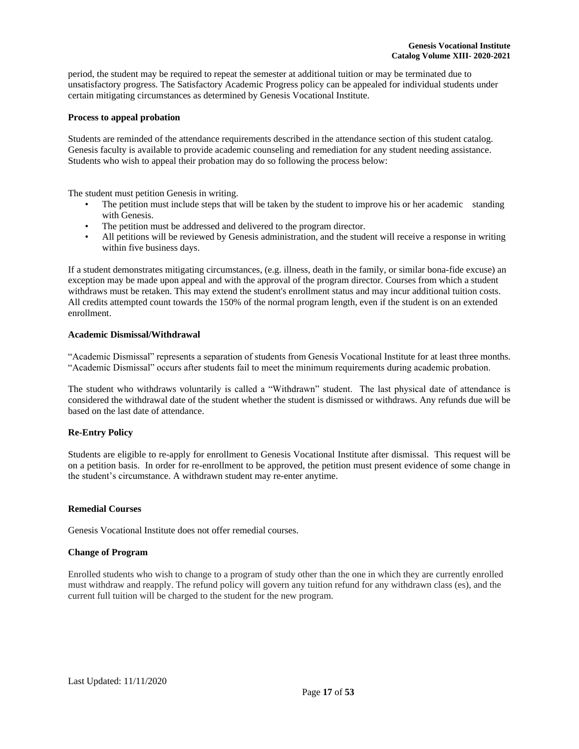period, the student may be required to repeat the semester at additional tuition or may be terminated due to unsatisfactory progress. The Satisfactory Academic Progress policy can be appealed for individual students under certain mitigating circumstances as determined by Genesis Vocational Institute.

## **Process to appeal probation**

Students are reminded of the attendance requirements described in the attendance section of this student catalog. Genesis faculty is available to provide academic counseling and remediation for any student needing assistance. Students who wish to appeal their probation may do so following the process below:

The student must petition Genesis in writing.

- The petition must include steps that will be taken by the student to improve his or her academic standing with Genesis.
- The petition must be addressed and delivered to the program director.
- All petitions will be reviewed by Genesis administration, and the student will receive a response in writing within five business days.

If a student demonstrates mitigating circumstances, (e.g. illness, death in the family, or similar bona-fide excuse) an exception may be made upon appeal and with the approval of the program director. Courses from which a student withdraws must be retaken. This may extend the student's enrollment status and may incur additional tuition costs. All credits attempted count towards the 150% of the normal program length, even if the student is on an extended enrollment.

# <span id="page-17-0"></span>**Academic Dismissal/Withdrawal**

"Academic Dismissal" represents a separation of students from Genesis Vocational Institute for at least three months. "Academic Dismissal" occurs after students fail to meet the minimum requirements during academic probation.

The student who withdraws voluntarily is called a "Withdrawn" student. The last physical date of attendance is considered the withdrawal date of the student whether the student is dismissed or withdraws. Any refunds due will be based on the last date of attendance.

# <span id="page-17-1"></span>**Re-Entry Policy**

Students are eligible to re-apply for enrollment to Genesis Vocational Institute after dismissal. This request will be on a petition basis. In order for re-enrollment to be approved, the petition must present evidence of some change in the student's circumstance. A withdrawn student may re-enter anytime.

#### <span id="page-17-2"></span>**Remedial Courses**

Genesis Vocational Institute does not offer remedial courses.

#### <span id="page-17-3"></span>**Change of Program**

Enrolled students who wish to change to a program of study other than the one in which they are currently enrolled must withdraw and reapply. The refund policy will govern any tuition refund for any withdrawn class (es), and the current full tuition will be charged to the student for the new program.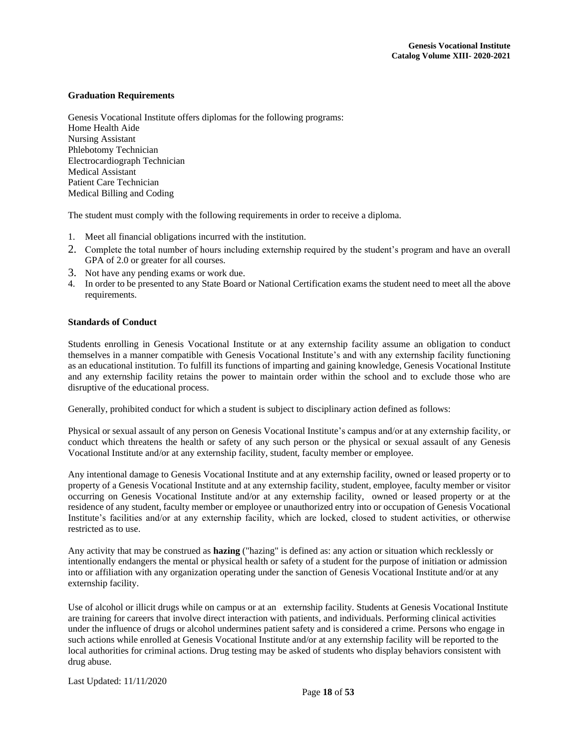#### <span id="page-18-0"></span>**Graduation Requirements**

Genesis Vocational Institute offers diplomas for the following programs: Home Health Aide Nursing Assistant Phlebotomy Technician Electrocardiograph Technician Medical Assistant Patient Care Technician Medical Billing and Coding

The student must comply with the following requirements in order to receive a diploma.

- 1. Meet all financial obligations incurred with the institution.
- 2. Complete the total number of hours including externship required by the student's program and have an overall GPA of 2.0 or greater for all courses.
- 3. Not have any pending exams or work due.
- 4. In order to be presented to any State Board or National Certification exams the student need to meet all the above requirements.

#### <span id="page-18-1"></span>**Standards of Conduct**

Students enrolling in Genesis Vocational Institute or at any externship facility assume an obligation to conduct themselves in a manner compatible with Genesis Vocational Institute's and with any externship facility functioning as an educational institution. To fulfill its functions of imparting and gaining knowledge, Genesis Vocational Institute and any externship facility retains the power to maintain order within the school and to exclude those who are disruptive of the educational process.

Generally, prohibited conduct for which a student is subject to disciplinary action defined as follows:

Physical or sexual assault of any person on Genesis Vocational Institute's campus and/or at any externship facility, or conduct which threatens the health or safety of any such person or the physical or sexual assault of any Genesis Vocational Institute and/or at any externship facility, student, faculty member or employee.

Any intentional damage to Genesis Vocational Institute and at any externship facility, owned or leased property or to property of a Genesis Vocational Institute and at any externship facility, student, employee, faculty member or visitor occurring on Genesis Vocational Institute and/or at any externship facility, owned or leased property or at the residence of any student, faculty member or employee or unauthorized entry into or occupation of Genesis Vocational Institute's facilities and/or at any externship facility, which are locked, closed to student activities, or otherwise restricted as to use.

Any activity that may be construed as **hazing** ("hazing" is defined as: any action or situation which recklessly or intentionally endangers the mental or physical health or safety of a student for the purpose of initiation or admission into or affiliation with any organization operating under the sanction of Genesis Vocational Institute and/or at any externship facility.

Use of alcohol or illicit drugs while on campus or at an externship facility. Students at Genesis Vocational Institute are training for careers that involve direct interaction with patients, and individuals. Performing clinical activities under the influence of drugs or alcohol undermines patient safety and is considered a crime. Persons who engage in such actions while enrolled at Genesis Vocational Institute and/or at any externship facility will be reported to the local authorities for criminal actions. Drug testing may be asked of students who display behaviors consistent with drug abuse.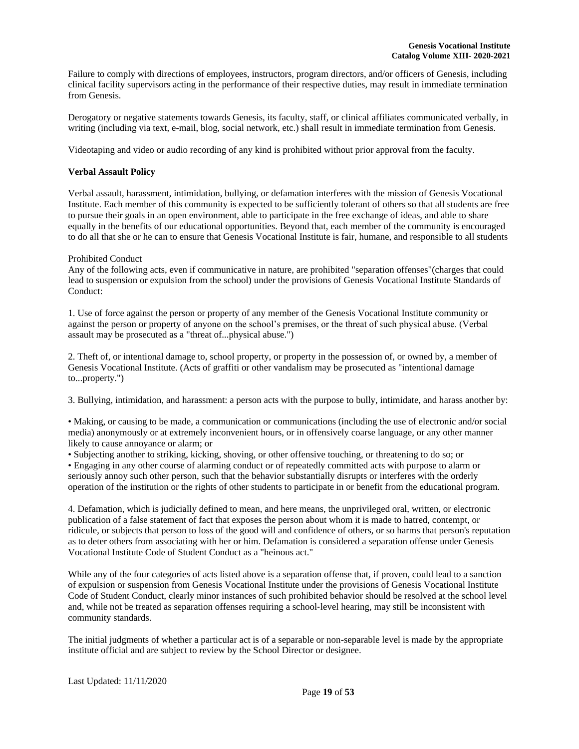Failure to comply with directions of employees, instructors, program directors, and/or officers of Genesis, including clinical facility supervisors acting in the performance of their respective duties, may result in immediate termination from Genesis.

Derogatory or negative statements towards Genesis, its faculty, staff, or clinical affiliates communicated verbally, in writing (including via text, e-mail, blog, social network, etc.) shall result in immediate termination from Genesis.

Videotaping and video or audio recording of any kind is prohibited without prior approval from the faculty.

# <span id="page-19-0"></span>**Verbal Assault Policy**

Verbal assault, harassment, intimidation, bullying, or defamation interferes with the mission of Genesis Vocational Institute. Each member of this community is expected to be sufficiently tolerant of others so that all students are free to pursue their goals in an open environment, able to participate in the free exchange of ideas, and able to share equally in the benefits of our educational opportunities. Beyond that, each member of the community is encouraged to do all that she or he can to ensure that Genesis Vocational Institute is fair, humane, and responsible to all students

#### Prohibited Conduct

Any of the following acts, even if communicative in nature, are prohibited "separation offenses"(charges that could lead to suspension or expulsion from the school) under the provisions of Genesis Vocational Institute Standards of Conduct:

1. Use of force against the person or property of any member of the Genesis Vocational Institute community or against the person or property of anyone on the school's premises, or the threat of such physical abuse. (Verbal assault may be prosecuted as a "threat of...physical abuse.")

2. Theft of, or intentional damage to, school property, or property in the possession of, or owned by, a member of Genesis Vocational Institute. (Acts of graffiti or other vandalism may be prosecuted as "intentional damage to...property.")

3. Bullying, intimidation, and harassment: a person acts with the purpose to bully, intimidate, and harass another by:

• Making, or causing to be made, a communication or communications (including the use of electronic and/or social media) anonymously or at extremely inconvenient hours, or in offensively coarse language, or any other manner likely to cause annoyance or alarm; or

• Subjecting another to striking, kicking, shoving, or other offensive touching, or threatening to do so; or

• Engaging in any other course of alarming conduct or of repeatedly committed acts with purpose to alarm or seriously annoy such other person, such that the behavior substantially disrupts or interferes with the orderly operation of the institution or the rights of other students to participate in or benefit from the educational program.

4. Defamation, which is judicially defined to mean, and here means, the unprivileged oral, written, or electronic publication of a false statement of fact that exposes the person about whom it is made to hatred, contempt, or ridicule, or subjects that person to loss of the good will and confidence of others, or so harms that person's reputation as to deter others from associating with her or him. Defamation is considered a separation offense under Genesis Vocational Institute Code of Student Conduct as a "heinous act."

While any of the four categories of acts listed above is a separation offense that, if proven, could lead to a sanction of expulsion or suspension from Genesis Vocational Institute under the provisions of Genesis Vocational Institute Code of Student Conduct, clearly minor instances of such prohibited behavior should be resolved at the school level and, while not be treated as separation offenses requiring a school-level hearing, may still be inconsistent with community standards.

The initial judgments of whether a particular act is of a separable or non-separable level is made by the appropriate institute official and are subject to review by the School Director or designee.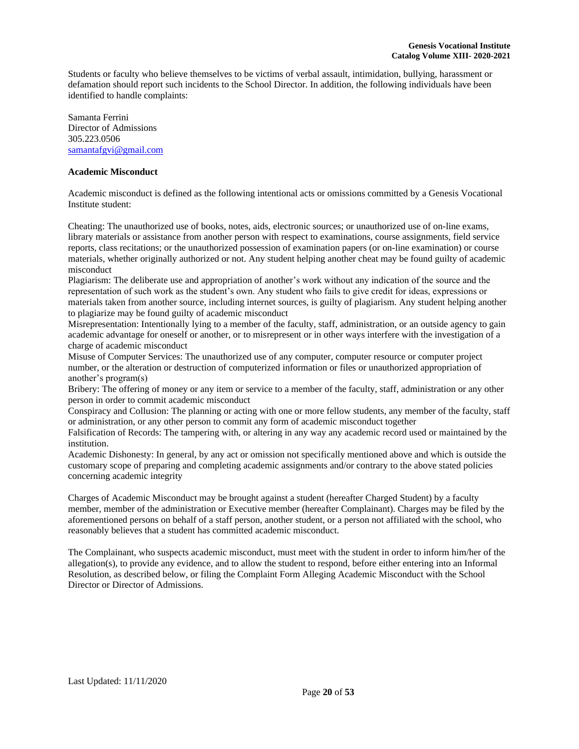Students or faculty who believe themselves to be victims of verbal assault, intimidation, bullying, harassment or defamation should report such incidents to the School Director. In addition, the following individuals have been identified to handle complaints:

Samanta Ferrini Director of Admissions 305.223.0506 [samantafgvi@gmail.com](mailto:sferrini@genesisvocationalinstitute.com)

## **Academic Misconduct**

Academic misconduct is defined as the following intentional acts or omissions committed by a Genesis Vocational Institute student:

Cheating: The unauthorized use of books, notes, aids, electronic sources; or unauthorized use of on-line exams, library materials or assistance from another person with respect to examinations, course assignments, field service reports, class recitations; or the unauthorized possession of examination papers (or on-line examination) or course materials, whether originally authorized or not. Any student helping another cheat may be found guilty of academic misconduct

Plagiarism: The deliberate use and appropriation of another's work without any indication of the source and the representation of such work as the student's own. Any student who fails to give credit for ideas, expressions or materials taken from another source, including internet sources, is guilty of plagiarism. Any student helping another to plagiarize may be found guilty of academic misconduct

Misrepresentation: Intentionally lying to a member of the faculty, staff, administration, or an outside agency to gain academic advantage for oneself or another, or to misrepresent or in other ways interfere with the investigation of a charge of academic misconduct

Misuse of Computer Services: The unauthorized use of any computer, computer resource or computer project number, or the alteration or destruction of computerized information or files or unauthorized appropriation of another's program(s)

Bribery: The offering of money or any item or service to a member of the faculty, staff, administration or any other person in order to commit academic misconduct

Conspiracy and Collusion: The planning or acting with one or more fellow students, any member of the faculty, staff or administration, or any other person to commit any form of academic misconduct together

Falsification of Records: The tampering with, or altering in any way any academic record used or maintained by the institution.

Academic Dishonesty: In general, by any act or omission not specifically mentioned above and which is outside the customary scope of preparing and completing academic assignments and/or contrary to the above stated policies concerning academic integrity

Charges of Academic Misconduct may be brought against a student (hereafter Charged Student) by a faculty member, member of the administration or Executive member (hereafter Complainant). Charges may be filed by the aforementioned persons on behalf of a staff person, another student, or a person not affiliated with the school, who reasonably believes that a student has committed academic misconduct.

The Complainant, who suspects academic misconduct, must meet with the student in order to inform him/her of the allegation(s), to provide any evidence, and to allow the student to respond, before either entering into an Informal Resolution, as described below, or filing the Complaint Form Alleging Academic Misconduct with the School Director or Director of Admissions.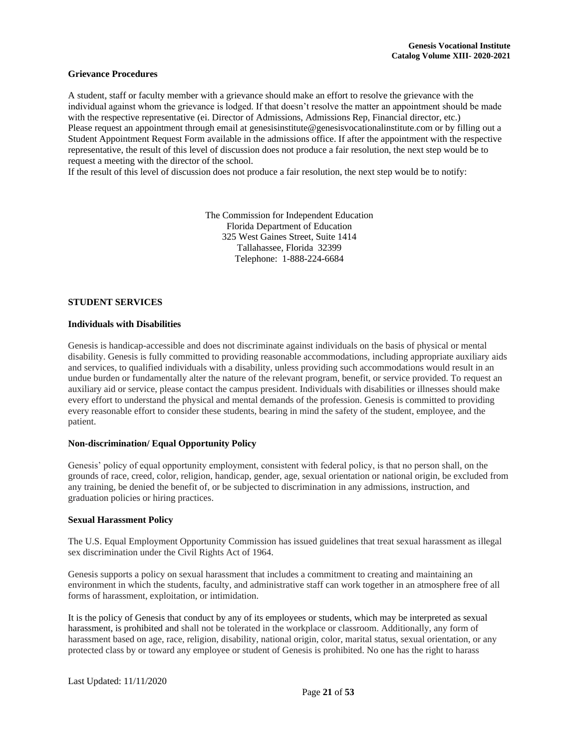# <span id="page-21-0"></span>**Grievance Procedures**

A student, staff or faculty member with a grievance should make an effort to resolve the grievance with the individual against whom the grievance is lodged. If that doesn't resolve the matter an appointment should be made with the respective representative (ei. Director of Admissions, Admissions Rep, Financial director, etc.) Please request an appointment through email at genesisinstitute@genesisvocationalinstitute.com or by filling out a Student Appointment Request Form available in the admissions office. If after the appointment with the respective representative, the result of this level of discussion does not produce a fair resolution, the next step would be to request a meeting with the director of the school.

If the result of this level of discussion does not produce a fair resolution, the next step would be to notify:

The Commission for Independent Education Florida Department of Education 325 West Gaines Street, Suite 1414 Tallahassee, Florida 32399 Telephone: 1-888-224-6684

#### <span id="page-21-1"></span>**STUDENT SERVICES**

#### <span id="page-21-2"></span>**Individuals with Disabilities**

Genesis is handicap-accessible and does not discriminate against individuals on the basis of physical or mental disability. Genesis is fully committed to providing reasonable accommodations, including appropriate auxiliary aids and services, to qualified individuals with a disability, unless providing such accommodations would result in an undue burden or fundamentally alter the nature of the relevant program, benefit, or service provided. To request an auxiliary aid or service, please contact the campus president. Individuals with disabilities or illnesses should make every effort to understand the physical and mental demands of the profession. Genesis is committed to providing every reasonable effort to consider these students, bearing in mind the safety of the student, employee, and the patient.

#### <span id="page-21-3"></span>**Non-discrimination/ Equal Opportunity Policy**

Genesis' policy of equal opportunity employment, consistent with federal policy, is that no person shall, on the grounds of race, creed, color, religion, handicap, gender, age, sexual orientation or national origin, be excluded from any training, be denied the benefit of, or be subjected to discrimination in any admissions, instruction, and graduation policies or hiring practices.

#### <span id="page-21-4"></span>**Sexual Harassment Policy**

The U.S. Equal Employment Opportunity Commission has issued guidelines that treat sexual harassment as illegal sex discrimination under the Civil Rights Act of 1964.

Genesis supports a policy on sexual harassment that includes a commitment to creating and maintaining an environment in which the students, faculty, and administrative staff can work together in an atmosphere free of all forms of harassment, exploitation, or intimidation.

It is the policy of Genesis that conduct by any of its employees or students, which may be interpreted as sexual harassment, is prohibited and shall not be tolerated in the workplace or classroom. Additionally, any form of harassment based on age, race, religion, disability, national origin, color, marital status, sexual orientation, or any protected class by or toward any employee or student of Genesis is prohibited. No one has the right to harass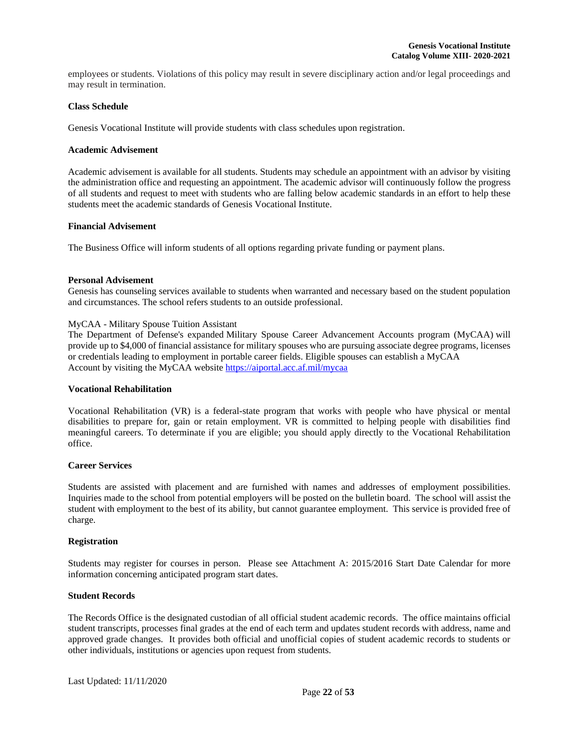employees or students. Violations of this policy may result in severe disciplinary action and/or legal proceedings and may result in termination.

## <span id="page-22-0"></span>**Class Schedule**

Genesis Vocational Institute will provide students with class schedules upon registration.

## <span id="page-22-1"></span>**Academic Advisement**

Academic advisement is available for all students. Students may schedule an appointment with an advisor by visiting the administration office and requesting an appointment. The academic advisor will continuously follow the progress of all students and request to meet with students who are falling below academic standards in an effort to help these students meet the academic standards of Genesis Vocational Institute.

# <span id="page-22-2"></span>**Financial Advisement**

The Business Office will inform students of all options regarding private funding or payment plans.

# <span id="page-22-3"></span>**Personal Advisement**

Genesis has counseling services available to students when warranted and necessary based on the student population and circumstances. The school refers students to an outside professional.

# MyCAA - Military Spouse Tuition Assistant

The Department of Defense's expanded Military Spouse Career Advancement Accounts program (MyCAA) will provide up to \$4,000 of financial assistance for military spouses who are pursuing associate degree programs, licenses or credentials leading to employment in portable career fields. Eligible spouses can establish a MyCAA Account by visiting the MyCAA websit[e https://aiportal.acc.af.mil/mycaa](https://aiportal.acc.af.mil/mycaa)

#### **Vocational Rehabilitation**

Vocational Rehabilitation (VR) is a federal-state program that works with people who have physical or mental disabilities to prepare for, gain or retain employment. VR is committed to helping people with disabilities find meaningful careers. To determinate if you are eligible; you should apply directly to the Vocational Rehabilitation office.

# <span id="page-22-4"></span>**Career Services**

Students are assisted with placement and are furnished with names and addresses of employment possibilities. Inquiries made to the school from potential employers will be posted on the bulletin board. The school will assist the student with employment to the best of its ability, but cannot guarantee employment. This service is provided free of charge.

#### <span id="page-22-5"></span>**Registration**

Students may register for courses in person. Please see Attachment A: 2015/2016 Start Date Calendar for more information concerning anticipated program start dates.

#### <span id="page-22-6"></span>**Student Records**

The Records Office is the designated custodian of all official student academic records. The office maintains official student transcripts, processes final grades at the end of each term and updates student records with address, name and approved grade changes. It provides both official and unofficial copies of student academic records to students or other individuals, institutions or agencies upon request from students.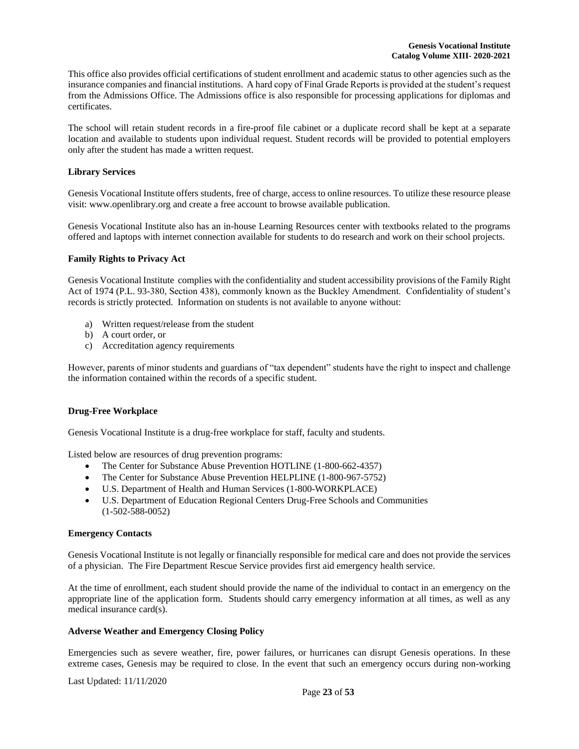This office also provides official certifications of student enrollment and academic status to other agencies such as the insurance companies and financial institutions. A hard copy of Final Grade Reports is provided at the student's request from the Admissions Office. The Admissions office is also responsible for processing applications for diplomas and certificates.

The school will retain student records in a fire-proof file cabinet or a duplicate record shall be kept at a separate location and available to students upon individual request. Student records will be provided to potential employers only after the student has made a written request.

# <span id="page-23-0"></span>**Library Services**

Genesis Vocational Institute offers students, free of charge, access to online resources. To utilize these resource please visit: www.openlibrary.org and create a free account to browse available publication.

Genesis Vocational Institute also has an in-house Learning Resources center with textbooks related to the programs offered and laptops with internet connection available for students to do research and work on their school projects.

#### <span id="page-23-1"></span>**Family Rights to Privacy Act**

Genesis Vocational Institute complies with the confidentiality and student accessibility provisions of the Family Right Act of 1974 (P.L. 93-380, Section 438), commonly known as the Buckley Amendment. Confidentiality of student's records is strictly protected. Information on students is not available to anyone without:

- a) Written request/release from the student
- b) A court order, or
- c) Accreditation agency requirements

However, parents of minor students and guardians of "tax dependent" students have the right to inspect and challenge the information contained within the records of a specific student.

# <span id="page-23-2"></span>**Drug-Free Workplace**

Genesis Vocational Institute is a drug-free workplace for staff, faculty and students.

Listed below are resources of drug prevention programs:

- The Center for Substance Abuse Prevention HOTLINE (1-800-662-4357)
- The Center for Substance Abuse Prevention HELPLINE (1-800-967-5752)
- U.S. Department of Health and Human Services (1-800-WORKPLACE)
- U.S. Department of Education Regional Centers Drug-Free Schools and Communities (1-502-588-0052)

#### <span id="page-23-3"></span>**Emergency Contacts**

Genesis Vocational Institute is not legally or financially responsible for medical care and does not provide the services of a physician. The Fire Department Rescue Service provides first aid emergency health service.

At the time of enrollment, each student should provide the name of the individual to contact in an emergency on the appropriate line of the application form. Students should carry emergency information at all times, as well as any medical insurance card(s).

#### <span id="page-23-4"></span>**Adverse Weather and Emergency Closing Policy**

Emergencies such as severe weather, fire, power failures, or hurricanes can disrupt Genesis operations. In these extreme cases, Genesis may be required to close. In the event that such an emergency occurs during non-working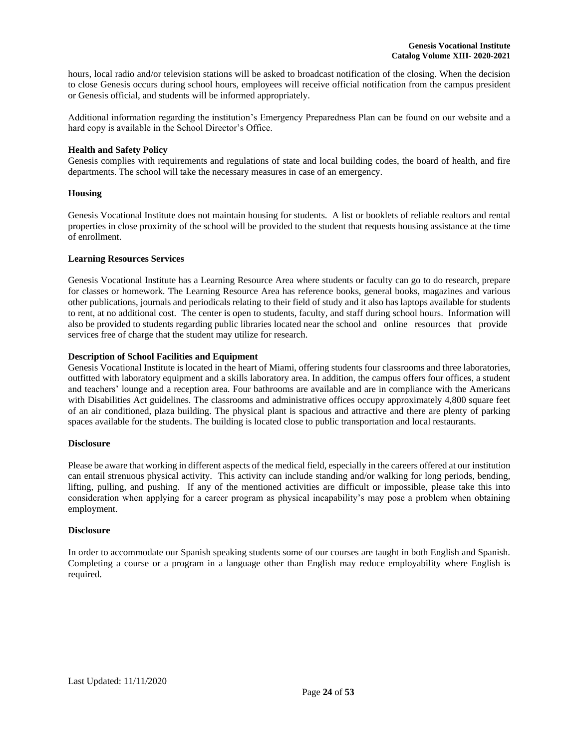hours, local radio and/or television stations will be asked to broadcast notification of the closing. When the decision to close Genesis occurs during school hours, employees will receive official notification from the campus president or Genesis official, and students will be informed appropriately.

Additional information regarding the institution's Emergency Preparedness Plan can be found on our website and a hard copy is available in the School Director's Office.

## <span id="page-24-0"></span>**Health and Safety Policy**

Genesis complies with requirements and regulations of state and local building codes, the board of health, and fire departments. The school will take the necessary measures in case of an emergency.

# <span id="page-24-1"></span>**Housing**

Genesis Vocational Institute does not maintain housing for students. A list or booklets of reliable realtors and rental properties in close proximity of the school will be provided to the student that requests housing assistance at the time of enrollment.

#### <span id="page-24-2"></span>**Learning Resources Services**

Genesis Vocational Institute has a Learning Resource Area where students or faculty can go to do research, prepare for classes or homework. The Learning Resource Area has reference books, general books, magazines and various other publications, journals and periodicals relating to their field of study and it also has laptops available for students to rent, at no additional cost. The center is open to students, faculty, and staff during school hours. Information will also be provided to students regarding public libraries located near the school and online resources that provide services free of charge that the student may utilize for research.

# <span id="page-24-3"></span>**Description of School Facilities and Equipment**

Genesis Vocational Institute is located in the heart of Miami, offering students four classrooms and three laboratories, outfitted with laboratory equipment and a skills laboratory area. In addition, the campus offers four offices, a student and teachers' lounge and a reception area. Four bathrooms are available and are in compliance with the Americans with Disabilities Act guidelines. The classrooms and administrative offices occupy approximately 4,800 square feet of an air conditioned, plaza building. The physical plant is spacious and attractive and there are plenty of parking spaces available for the students. The building is located close to public transportation and local restaurants.

#### <span id="page-24-4"></span>**Disclosure**

Please be aware that working in different aspects of the medical field, especially in the careers offered at our institution can entail strenuous physical activity. This activity can include standing and/or walking for long periods, bending, lifting, pulling, and pushing. If any of the mentioned activities are difficult or impossible, please take this into consideration when applying for a career program as physical incapability's may pose a problem when obtaining employment.

# **Disclosure**

In order to accommodate our Spanish speaking students some of our courses are taught in both English and Spanish. Completing a course or a program in a language other than English may reduce employability where English is required.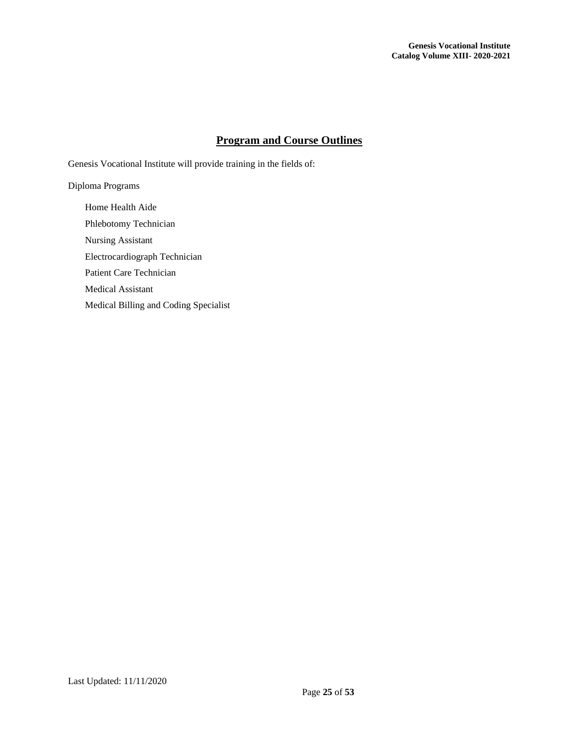# **Program and Course Outlines**

<span id="page-25-0"></span>Genesis Vocational Institute will provide training in the fields of:

Diploma Programs

Home Health Aide Phlebotomy Technician Nursing Assistant Electrocardiograph Technician Patient Care Technician Medical Assistant Medical Billing and Coding Specialist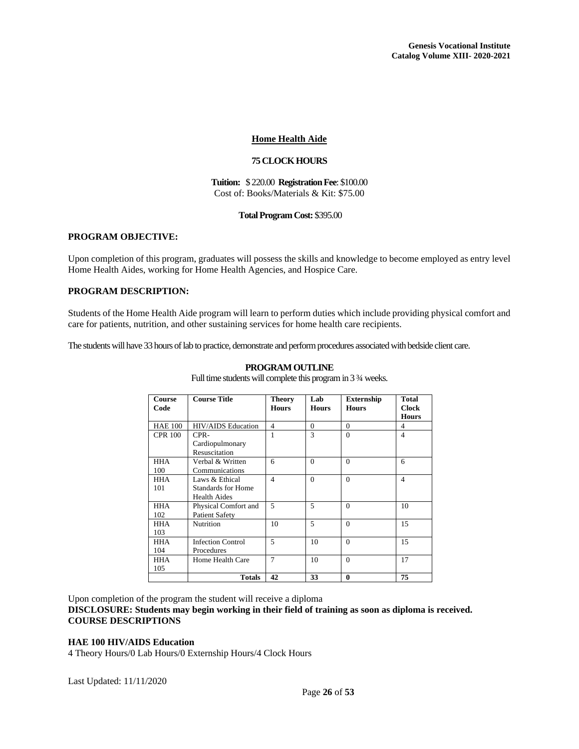# **Home Health Aide**

# **75 CLOCK HOURS**

#### **Tuition:** \$ 220.00 **Registration Fee**: \$100.00 Cost of: Books/Materials & Kit: \$75.00

#### **Total Program Cost:** \$395.00

# <span id="page-26-0"></span>**PROGRAM OBJECTIVE:**

Upon completion of this program, graduates will possess the skills and knowledge to become employed as entry level Home Health Aides, working for Home Health Agencies, and Hospice Care.

# **PROGRAM DESCRIPTION:**

Students of the Home Health Aide program will learn to perform duties which include providing physical comfort and care for patients, nutrition, and other sustaining services for home health care recipients.

The students will have 33 hours of lab to practice, demonstrate and perform procedures associated with bedside client care.

| <b>Course</b><br>Code | <b>Course Title</b>              | <b>Theory</b><br><b>Hours</b> | Lab<br><b>Hours</b> | <b>Externship</b><br><b>Hours</b> | Total<br><b>Clock</b><br><b>Hours</b> |
|-----------------------|----------------------------------|-------------------------------|---------------------|-----------------------------------|---------------------------------------|
| <b>HAE 100</b>        | HIV/AIDS Education               | $\overline{\mathcal{L}}$      | $\Omega$            | $\Omega$                          | $\overline{4}$                        |
| <b>CPR 100</b>        | CPR-                             |                               | $\mathcal{R}$       | $\Omega$                          | $\overline{4}$                        |
|                       | Cardiopulmonary<br>Resuscitation |                               |                     |                                   |                                       |
| <b>HHA</b>            | Verbal & Written                 | 6                             | $\Omega$            | $\Omega$                          | 6                                     |
| 100                   | Communications                   |                               |                     |                                   |                                       |
| <b>HHA</b>            | Laws & Ethical                   | $\overline{4}$                | $\Omega$            | $\Omega$                          | $\overline{\mathcal{A}}$              |
| 101                   | Standards for Home               |                               |                     |                                   |                                       |
|                       | <b>Health Aides</b>              |                               |                     |                                   |                                       |
| <b>HHA</b>            | Physical Comfort and             | 5                             | 5                   | $\Omega$                          | 10                                    |
| 102                   | <b>Patient Safety</b>            |                               |                     |                                   |                                       |
| <b>HHA</b>            | Nutrition                        | 10                            | 5                   | $\Omega$                          | 15                                    |
| 103                   |                                  |                               |                     |                                   |                                       |
| <b>HHA</b>            | <b>Infection Control</b>         | 5                             | 10                  | $\Omega$                          | 15                                    |
| 104                   | Procedures                       |                               |                     |                                   |                                       |
| <b>HHA</b>            | Home Health Care                 | $\overline{7}$                | 10                  | $\Omega$                          | 17                                    |
| 105                   |                                  |                               |                     |                                   |                                       |
|                       | <b>Totals</b>                    | 42                            | 33                  | $\mathbf{0}$                      | 75                                    |

#### **PROGRAM OUTLINE**

Full time students will complete this program in 3 ¾ weeks.

Upon completion of the program the student will receive a diploma

**DISCLOSURE: Students may begin working in their field of training as soon as diploma is received. COURSE DESCRIPTIONS**

#### **HAE 100 HIV/AIDS Education**

4 Theory Hours/0 Lab Hours/0 Externship Hours/4 Clock Hours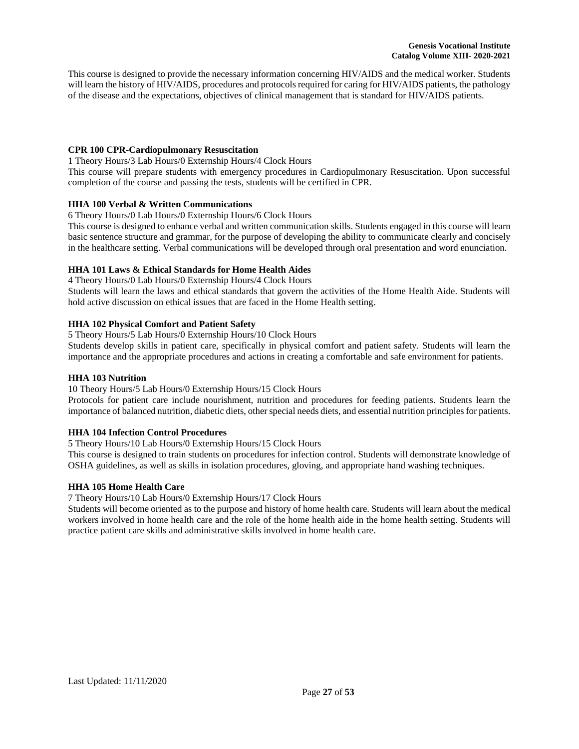This course is designed to provide the necessary information concerning HIV/AIDS and the medical worker. Students will learn the history of HIV/AIDS, procedures and protocols required for caring for HIV/AIDS patients, the pathology of the disease and the expectations, objectives of clinical management that is standard for HIV/AIDS patients.

# **CPR 100 CPR-Cardiopulmonary Resuscitation**

1 Theory Hours/3 Lab Hours/0 Externship Hours/4 Clock Hours

This course will prepare students with emergency procedures in Cardiopulmonary Resuscitation. Upon successful completion of the course and passing the tests, students will be certified in CPR.

# **HHA 100 Verbal & Written Communications**

6 Theory Hours/0 Lab Hours/0 Externship Hours/6 Clock Hours

This course is designed to enhance verbal and written communication skills. Students engaged in this course will learn basic sentence structure and grammar, for the purpose of developing the ability to communicate clearly and concisely in the healthcare setting. Verbal communications will be developed through oral presentation and word enunciation.

# **HHA 101 Laws & Ethical Standards for Home Health Aides**

4 Theory Hours/0 Lab Hours/0 Externship Hours/4 Clock Hours

Students will learn the laws and ethical standards that govern the activities of the Home Health Aide. Students will hold active discussion on ethical issues that are faced in the Home Health setting.

# **HHA 102 Physical Comfort and Patient Safety**

5 Theory Hours/5 Lab Hours/0 Externship Hours/10 Clock Hours

Students develop skills in patient care, specifically in physical comfort and patient safety. Students will learn the importance and the appropriate procedures and actions in creating a comfortable and safe environment for patients.

## **HHA 103 Nutrition**

10 Theory Hours/5 Lab Hours/0 Externship Hours/15 Clock Hours

Protocols for patient care include nourishment, nutrition and procedures for feeding patients. Students learn the importance of balanced nutrition, diabetic diets, other special needs diets, and essential nutrition principles for patients.

# **HHA 104 Infection Control Procedures**

5 Theory Hours/10 Lab Hours/0 Externship Hours/15 Clock Hours

This course is designed to train students on procedures for infection control. Students will demonstrate knowledge of OSHA guidelines, as well as skills in isolation procedures, gloving, and appropriate hand washing techniques.

# **HHA 105 Home Health Care**

7 Theory Hours/10 Lab Hours/0 Externship Hours/17 Clock Hours

Students will become oriented as to the purpose and history of home health care. Students will learn about the medical workers involved in home health care and the role of the home health aide in the home health setting. Students will practice patient care skills and administrative skills involved in home health care.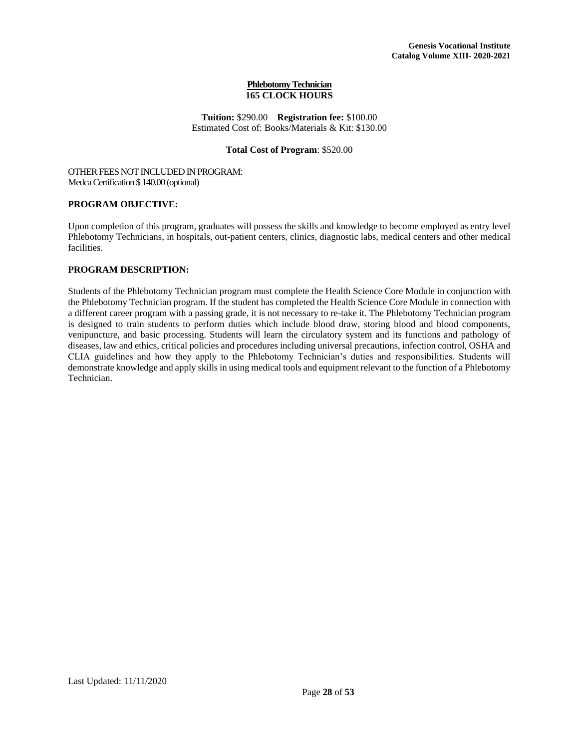#### **Phlebotomy Technician 165 CLOCK HOURS**

**Tuition:** \$290.00 **Registration fee:** \$100.00 Estimated Cost of: Books/Materials & Kit: \$130.00

# **Total Cost of Program**: \$520.00

#### <span id="page-28-0"></span>OTHER FEES NOT INCLUDED IN PROGRAM: Medca Certification \$ 140.00 (optional)

# **PROGRAM OBJECTIVE:**

Upon completion of this program, graduates will possess the skills and knowledge to become employed as entry level Phlebotomy Technicians, in hospitals, out-patient centers, clinics, diagnostic labs, medical centers and other medical facilities.

# **PROGRAM DESCRIPTION:**

Students of the Phlebotomy Technician program must complete the Health Science Core Module in conjunction with the Phlebotomy Technician program. If the student has completed the Health Science Core Module in connection with a different career program with a passing grade, it is not necessary to re-take it. The Phlebotomy Technician program is designed to train students to perform duties which include blood draw, storing blood and blood components, venipuncture, and basic processing. Students will learn the circulatory system and its functions and pathology of diseases, law and ethics, critical policies and procedures including universal precautions, infection control, OSHA and CLIA guidelines and how they apply to the Phlebotomy Technician's duties and responsibilities. Students will demonstrate knowledge and apply skills in using medical tools and equipment relevant to the function of a Phlebotomy Technician.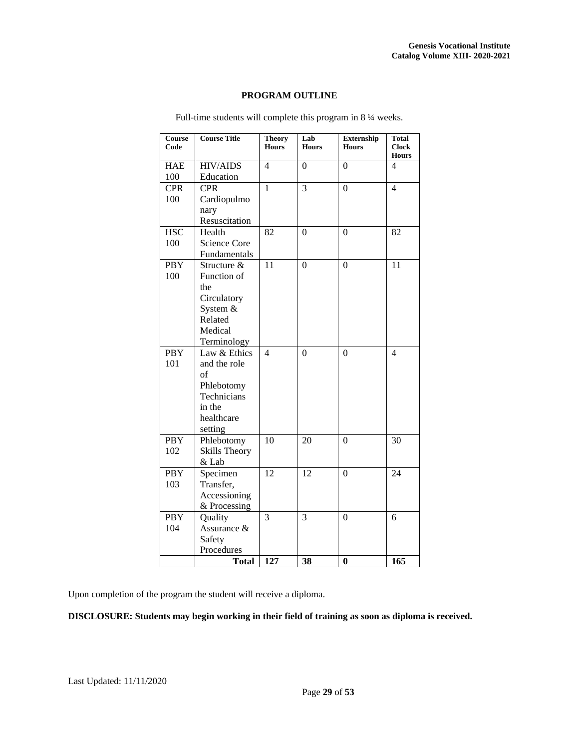# **PROGRAM OUTLINE**

| Course<br>Code | <b>Course Title</b> | <b>Theory</b><br><b>Hours</b> | Lab<br><b>Hours</b> | <b>Externship</b><br><b>Hours</b> | Total<br><b>Clock</b><br><b>Hours</b> |
|----------------|---------------------|-------------------------------|---------------------|-----------------------------------|---------------------------------------|
| <b>HAE</b>     | <b>HIV/AIDS</b>     | 4                             | $\theta$            | $\theta$                          | 4                                     |
| 100            | Education           |                               |                     |                                   |                                       |
| <b>CPR</b>     | <b>CPR</b>          | $\mathbf{1}$                  | 3                   | $\overline{0}$                    | 4                                     |
| 100            | Cardiopulmo         |                               |                     |                                   |                                       |
|                | nary                |                               |                     |                                   |                                       |
|                | Resuscitation       |                               |                     |                                   |                                       |
| <b>HSC</b>     | Health              | 82                            | $\overline{0}$      | $\theta$                          | 82                                    |
| 100            | <b>Science Core</b> |                               |                     |                                   |                                       |
|                | Fundamentals        |                               |                     |                                   |                                       |
| <b>PBY</b>     | Structure &         | 11                            | $\boldsymbol{0}$    | $\boldsymbol{0}$                  | 11                                    |
| 100            | Function of         |                               |                     |                                   |                                       |
|                | the                 |                               |                     |                                   |                                       |
|                | Circulatory         |                               |                     |                                   |                                       |
|                | System &            |                               |                     |                                   |                                       |
|                | Related             |                               |                     |                                   |                                       |
|                | Medical             |                               |                     |                                   |                                       |
|                | Terminology         |                               |                     |                                   |                                       |
| <b>PBY</b>     | Law & Ethics        | $\overline{4}$                | $\theta$            | $\theta$                          | 4                                     |
| 101            | and the role        |                               |                     |                                   |                                       |
|                | $\sigma$ f          |                               |                     |                                   |                                       |
|                | Phlebotomy          |                               |                     |                                   |                                       |
|                | Technicians         |                               |                     |                                   |                                       |
|                | in the              |                               |                     |                                   |                                       |
|                | healthcare          |                               |                     |                                   |                                       |
|                | setting             |                               |                     |                                   |                                       |
| <b>PBY</b>     | Phlebotomy          | 10                            | 20                  | $\theta$                          | 30                                    |
| 102            | Skills Theory       |                               |                     |                                   |                                       |
|                | & Lab               |                               |                     |                                   |                                       |
| <b>PBY</b>     | Specimen            | 12                            | 12                  | $\theta$                          | 24                                    |
| 103            | Transfer,           |                               |                     |                                   |                                       |
|                | Accessioning        |                               |                     |                                   |                                       |
|                | & Processing        |                               |                     |                                   |                                       |
| <b>PBY</b>     | Quality             | 3                             | 3                   | $\boldsymbol{0}$                  | 6                                     |
| 104            | Assurance &         |                               |                     |                                   |                                       |
|                | Safety              |                               |                     |                                   |                                       |
|                | Procedures          |                               |                     |                                   |                                       |
|                | <b>Total</b>        | 127                           | 38                  | $\bf{0}$                          | 165                                   |

Full-time students will complete this program in 8 ¼ weeks.

Upon completion of the program the student will receive a diploma.

**DISCLOSURE: Students may begin working in their field of training as soon as diploma is received.**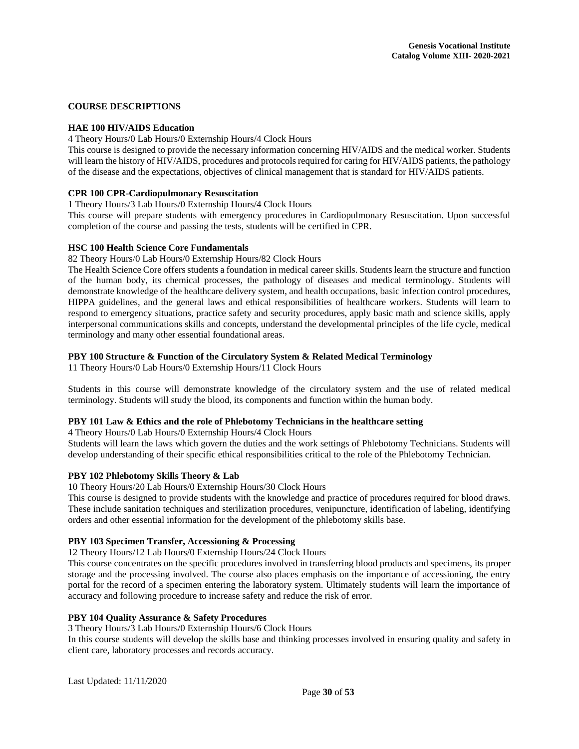# **COURSE DESCRIPTIONS**

## **HAE 100 HIV/AIDS Education**

4 Theory Hours/0 Lab Hours/0 Externship Hours/4 Clock Hours

This course is designed to provide the necessary information concerning HIV/AIDS and the medical worker. Students will learn the history of HIV/AIDS, procedures and protocols required for caring for HIV/AIDS patients, the pathology of the disease and the expectations, objectives of clinical management that is standard for HIV/AIDS patients.

# **CPR 100 CPR-Cardiopulmonary Resuscitation**

1 Theory Hours/3 Lab Hours/0 Externship Hours/4 Clock Hours

This course will prepare students with emergency procedures in Cardiopulmonary Resuscitation. Upon successful completion of the course and passing the tests, students will be certified in CPR.

#### **HSC 100 Health Science Core Fundamentals**

82 Theory Hours/0 Lab Hours/0 Externship Hours/82 Clock Hours

The Health Science Core offers students a foundation in medical career skills. Students learn the structure and function of the human body, its chemical processes, the pathology of diseases and medical terminology. Students will demonstrate knowledge of the healthcare delivery system, and health occupations, basic infection control procedures, HIPPA guidelines, and the general laws and ethical responsibilities of healthcare workers. Students will learn to respond to emergency situations, practice safety and security procedures, apply basic math and science skills, apply interpersonal communications skills and concepts, understand the developmental principles of the life cycle, medical terminology and many other essential foundational areas.

# **PBY 100 Structure & Function of the Circulatory System & Related Medical Terminology**

11 Theory Hours/0 Lab Hours/0 Externship Hours/11 Clock Hours

Students in this course will demonstrate knowledge of the circulatory system and the use of related medical terminology. Students will study the blood, its components and function within the human body.

# **PBY 101 Law & Ethics and the role of Phlebotomy Technicians in the healthcare setting**

4 Theory Hours/0 Lab Hours/0 Externship Hours/4 Clock Hours

Students will learn the laws which govern the duties and the work settings of Phlebotomy Technicians. Students will develop understanding of their specific ethical responsibilities critical to the role of the Phlebotomy Technician.

#### **PBY 102 Phlebotomy Skills Theory & Lab**

10 Theory Hours/20 Lab Hours/0 Externship Hours/30 Clock Hours

This course is designed to provide students with the knowledge and practice of procedures required for blood draws. These include sanitation techniques and sterilization procedures, venipuncture, identification of labeling, identifying orders and other essential information for the development of the phlebotomy skills base.

# **PBY 103 Specimen Transfer, Accessioning & Processing**

12 Theory Hours/12 Lab Hours/0 Externship Hours/24 Clock Hours

This course concentrates on the specific procedures involved in transferring blood products and specimens, its proper storage and the processing involved. The course also places emphasis on the importance of accessioning, the entry portal for the record of a specimen entering the laboratory system. Ultimately students will learn the importance of accuracy and following procedure to increase safety and reduce the risk of error.

#### **PBY 104 Quality Assurance & Safety Procedures**

3 Theory Hours/3 Lab Hours/0 Externship Hours/6 Clock Hours

In this course students will develop the skills base and thinking processes involved in ensuring quality and safety in client care, laboratory processes and records accuracy.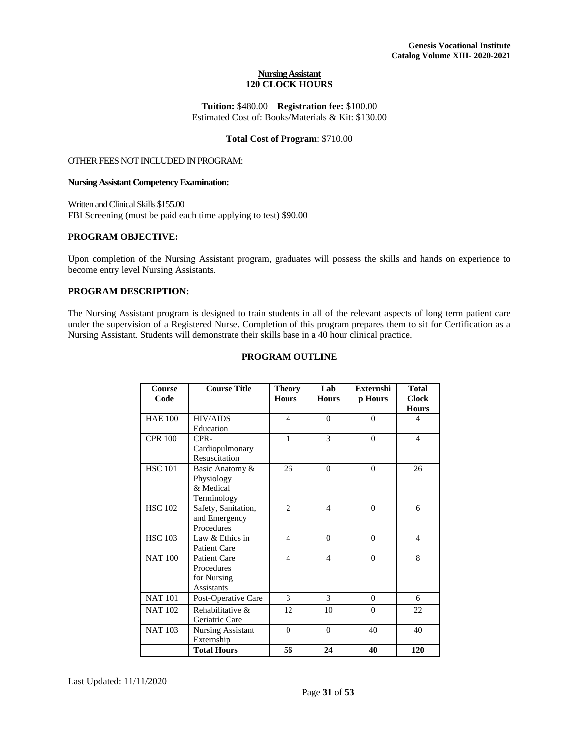#### **Nursing Assistant 120 CLOCK HOURS**

**Tuition:** \$480.00 **Registration fee:** \$100.00 Estimated Cost of: Books/Materials & Kit: \$130.00

#### **Total Cost of Program**: \$710.00

## <span id="page-31-0"></span>OTHER FEES NOT INCLUDED IN PROGRAM:

#### **Nursing Assistant Competency Examination:**

Written and Clinical Skills \$155.00 FBI Screening (must be paid each time applying to test) \$90.00

# **PROGRAM OBJECTIVE:**

Upon completion of the Nursing Assistant program, graduates will possess the skills and hands on experience to become entry level Nursing Assistants.

# **PROGRAM DESCRIPTION:**

The Nursing Assistant program is designed to train students in all of the relevant aspects of long term patient care under the supervision of a Registered Nurse. Completion of this program prepares them to sit for Certification as a Nursing Assistant. Students will demonstrate their skills base in a 40 hour clinical practice.

# **PROGRAM OUTLINE**

| Course<br>Code | <b>Course Title</b>                                            | <b>Theory</b><br><b>Hours</b> | Lab<br><b>Hours</b> | <b>Externshi</b><br>p Hours | <b>Total</b><br><b>Clock</b><br><b>Hours</b> |
|----------------|----------------------------------------------------------------|-------------------------------|---------------------|-----------------------------|----------------------------------------------|
| <b>HAE 100</b> | <b>HIV/AIDS</b><br>Education                                   | $\overline{4}$                | $\mathbf{0}$        | $\theta$                    | 4                                            |
| <b>CPR 100</b> | CPR-<br>Cardiopulmonary<br>Resuscitation                       | $\mathbf{1}$                  | 3                   | $\Omega$                    | 4                                            |
| <b>HSC 101</b> | Basic Anatomy &<br>Physiology<br>& Medical<br>Terminology      | 26                            | $\Omega$            | $\Omega$                    | 26                                           |
| <b>HSC 102</b> | Safety, Sanitation,<br>and Emergency<br>Procedures             | $\mathfrak{D}$                | $\overline{4}$      | $\theta$                    | 6                                            |
| <b>HSC 103</b> | Law & Ethics in<br>Patient Care                                | $\overline{\mathcal{L}}$      | $\Omega$            | $\theta$                    | 4                                            |
| <b>NAT 100</b> | <b>Patient Care</b><br>Procedures<br>for Nursing<br>Assistants | $\overline{4}$                | $\overline{4}$      | $\theta$                    | 8                                            |
| <b>NAT 101</b> | Post-Operative Care                                            | 3                             | 3                   | $\Omega$                    | 6                                            |
| <b>NAT 102</b> | Rehabilitative &<br>Geriatric Care                             | 12                            | 10                  | $\theta$                    | 22                                           |
| <b>NAT 103</b> | <b>Nursing Assistant</b><br>Externship                         | $\mathbf{0}$                  | $\mathbf{0}$        | 40                          | 40                                           |
|                | <b>Total Hours</b>                                             | 56                            | 24                  | 40                          | 120                                          |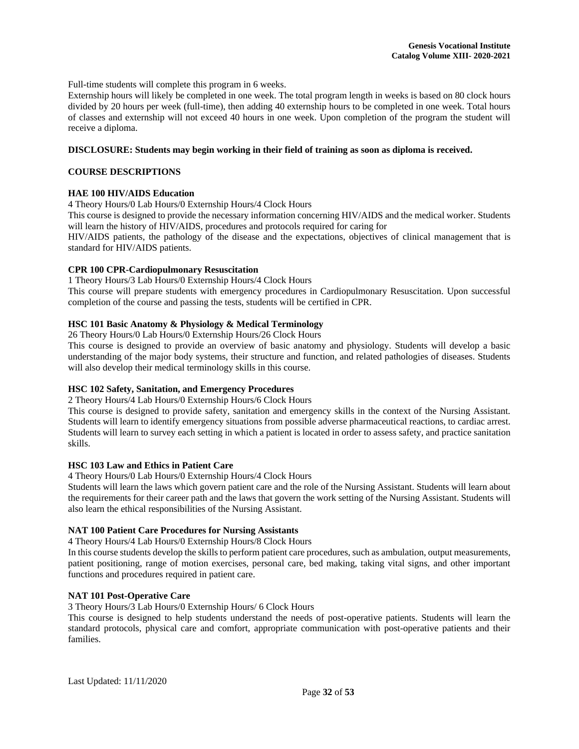Full-time students will complete this program in 6 weeks.

Externship hours will likely be completed in one week. The total program length in weeks is based on 80 clock hours divided by 20 hours per week (full-time), then adding 40 externship hours to be completed in one week. Total hours of classes and externship will not exceed 40 hours in one week. Upon completion of the program the student will receive a diploma.

## **DISCLOSURE: Students may begin working in their field of training as soon as diploma is received.**

## **COURSE DESCRIPTIONS**

# **HAE 100 HIV/AIDS Education**

4 Theory Hours/0 Lab Hours/0 Externship Hours/4 Clock Hours

This course is designed to provide the necessary information concerning HIV/AIDS and the medical worker. Students will learn the history of HIV/AIDS, procedures and protocols required for caring for

HIV/AIDS patients, the pathology of the disease and the expectations, objectives of clinical management that is standard for HIV/AIDS patients.

# **CPR 100 CPR-Cardiopulmonary Resuscitation**

1 Theory Hours/3 Lab Hours/0 Externship Hours/4 Clock Hours

This course will prepare students with emergency procedures in Cardiopulmonary Resuscitation. Upon successful completion of the course and passing the tests, students will be certified in CPR.

# **HSC 101 Basic Anatomy & Physiology & Medical Terminology**

26 Theory Hours/0 Lab Hours/0 Externship Hours/26 Clock Hours

This course is designed to provide an overview of basic anatomy and physiology. Students will develop a basic understanding of the major body systems, their structure and function, and related pathologies of diseases. Students will also develop their medical terminology skills in this course.

# **HSC 102 Safety, Sanitation, and Emergency Procedures**

2 Theory Hours/4 Lab Hours/0 Externship Hours/6 Clock Hours

This course is designed to provide safety, sanitation and emergency skills in the context of the Nursing Assistant. Students will learn to identify emergency situations from possible adverse pharmaceutical reactions, to cardiac arrest. Students will learn to survey each setting in which a patient is located in order to assess safety, and practice sanitation skills.

# **HSC 103 Law and Ethics in Patient Care**

4 Theory Hours/0 Lab Hours/0 Externship Hours/4 Clock Hours

Students will learn the laws which govern patient care and the role of the Nursing Assistant. Students will learn about the requirements for their career path and the laws that govern the work setting of the Nursing Assistant. Students will also learn the ethical responsibilities of the Nursing Assistant.

# **NAT 100 Patient Care Procedures for Nursing Assistants**

4 Theory Hours/4 Lab Hours/0 Externship Hours/8 Clock Hours

In this course students develop the skills to perform patient care procedures, such as ambulation, output measurements, patient positioning, range of motion exercises, personal care, bed making, taking vital signs, and other important functions and procedures required in patient care.

# **NAT 101 Post-Operative Care**

3 Theory Hours/3 Lab Hours/0 Externship Hours/ 6 Clock Hours

This course is designed to help students understand the needs of post-operative patients. Students will learn the standard protocols, physical care and comfort, appropriate communication with post-operative patients and their families.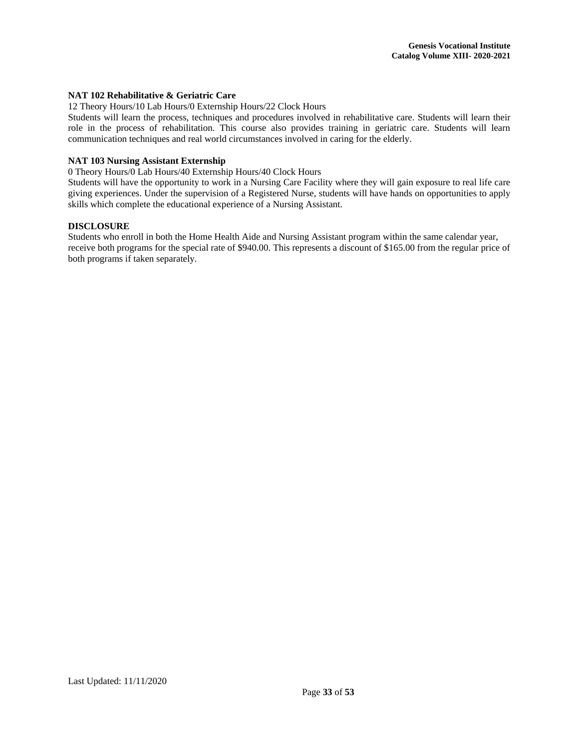# **NAT 102 Rehabilitative & Geriatric Care**

12 Theory Hours/10 Lab Hours/0 Externship Hours/22 Clock Hours

Students will learn the process, techniques and procedures involved in rehabilitative care. Students will learn their role in the process of rehabilitation. This course also provides training in geriatric care. Students will learn communication techniques and real world circumstances involved in caring for the elderly.

# **NAT 103 Nursing Assistant Externship**

0 Theory Hours/0 Lab Hours/40 Externship Hours/40 Clock Hours

Students will have the opportunity to work in a Nursing Care Facility where they will gain exposure to real life care giving experiences. Under the supervision of a Registered Nurse, students will have hands on opportunities to apply skills which complete the educational experience of a Nursing Assistant.

# **DISCLOSURE**

Students who enroll in both the Home Health Aide and Nursing Assistant program within the same calendar year, receive both programs for the special rate of \$940.00. This represents a discount of \$165.00 from the regular price of both programs if taken separately.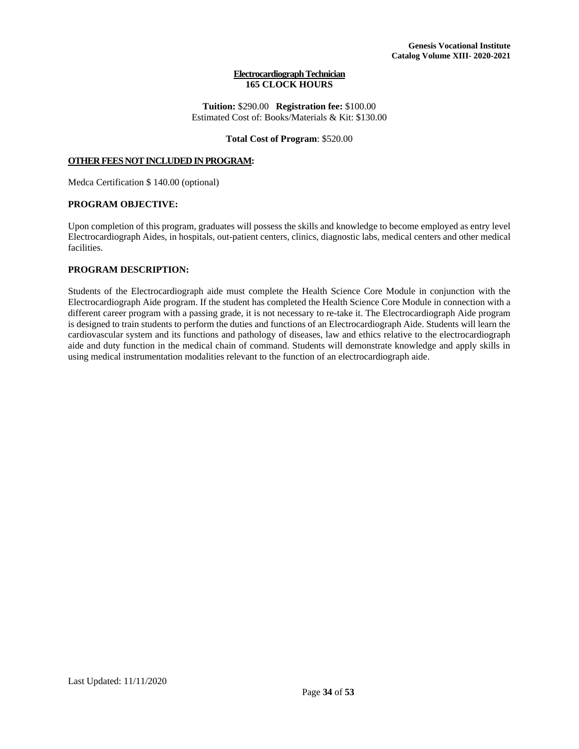#### **Electrocardiograph Technician 165 CLOCK HOURS**

#### **Tuition:** \$290.00 **Registration fee:** \$100.00 Estimated Cost of: Books/Materials & Kit: \$130.00

# **Total Cost of Program**: \$520.00

# <span id="page-34-0"></span>**OTHER FEES NOT INCLUDED IN PROGRAM:**

Medca Certification \$ 140.00 (optional)

# **PROGRAM OBJECTIVE:**

Upon completion of this program, graduates will possess the skills and knowledge to become employed as entry level Electrocardiograph Aides, in hospitals, out-patient centers, clinics, diagnostic labs, medical centers and other medical facilities.

# **PROGRAM DESCRIPTION:**

Students of the Electrocardiograph aide must complete the Health Science Core Module in conjunction with the Electrocardiograph Aide program. If the student has completed the Health Science Core Module in connection with a different career program with a passing grade, it is not necessary to re-take it. The Electrocardiograph Aide program is designed to train students to perform the duties and functions of an Electrocardiograph Aide. Students will learn the cardiovascular system and its functions and pathology of diseases, law and ethics relative to the electrocardiograph aide and duty function in the medical chain of command. Students will demonstrate knowledge and apply skills in using medical instrumentation modalities relevant to the function of an electrocardiograph aide.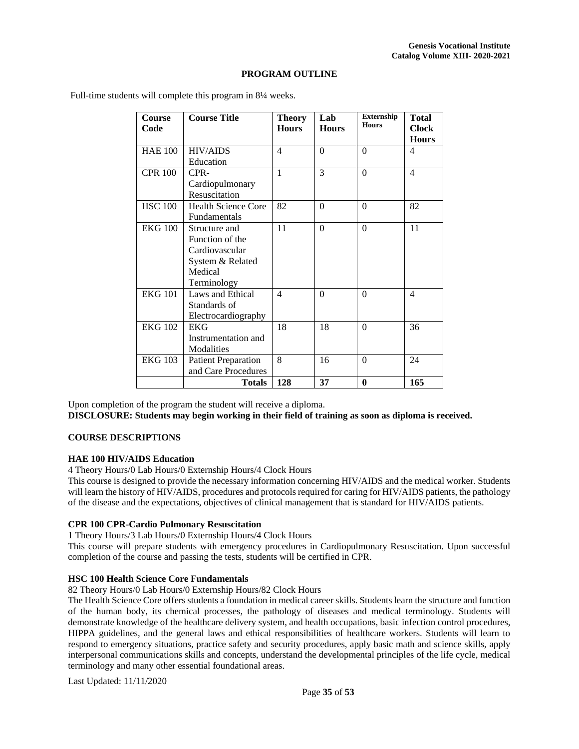# **PROGRAM OUTLINE**

| Course<br>Code | <b>Course Title</b>                                                                              | <b>Theory</b><br><b>Hours</b> | Lab<br><b>Hours</b> | <b>Externship</b><br><b>Hours</b> | <b>Total</b><br><b>Clock</b><br><b>Hours</b> |
|----------------|--------------------------------------------------------------------------------------------------|-------------------------------|---------------------|-----------------------------------|----------------------------------------------|
| <b>HAE 100</b> | <b>HIV/AIDS</b><br>Education                                                                     | $\overline{4}$                | $\theta$            | $\Omega$                          | 4                                            |
| <b>CPR 100</b> | CPR-<br>Cardiopulmonary<br>Resuscitation                                                         | $\mathbf{1}$                  | 3                   | $\Omega$                          | $\overline{4}$                               |
| <b>HSC 100</b> | <b>Health Science Core</b><br>Fundamentals                                                       | 82                            | $\theta$            | $\Omega$                          | 82                                           |
| <b>EKG 100</b> | Structure and<br>Function of the<br>Cardiovascular<br>System & Related<br>Medical<br>Terminology | 11                            | $\theta$            | $\Omega$                          | 11                                           |
| <b>EKG 101</b> | Laws and Ethical<br>Standards of<br>Electrocardiography                                          | $\overline{4}$                | $\theta$            | $\Omega$                          | $\overline{4}$                               |
| <b>EKG 102</b> | <b>EKG</b><br>Instrumentation and<br>Modalities                                                  | 18                            | 18                  | $\Omega$                          | 36                                           |
| <b>EKG 103</b> | <b>Patient Preparation</b><br>and Care Procedures                                                | 8                             | 16                  | $\Omega$                          | 24                                           |
|                | Totals                                                                                           | 128                           | 37                  | $\bf{0}$                          | 165                                          |

Full-time students will complete this program in 8<sup>1</sup>/<sub>4</sub> weeks.

Upon completion of the program the student will receive a diploma.

**DISCLOSURE: Students may begin working in their field of training as soon as diploma is received.**

# **COURSE DESCRIPTIONS**

#### **HAE 100 HIV/AIDS Education**

4 Theory Hours/0 Lab Hours/0 Externship Hours/4 Clock Hours

This course is designed to provide the necessary information concerning HIV/AIDS and the medical worker. Students will learn the history of HIV/AIDS, procedures and protocols required for caring for HIV/AIDS patients, the pathology of the disease and the expectations, objectives of clinical management that is standard for HIV/AIDS patients.

# **CPR 100 CPR-Cardio Pulmonary Resuscitation**

1 Theory Hours/3 Lab Hours/0 Externship Hours/4 Clock Hours

This course will prepare students with emergency procedures in Cardiopulmonary Resuscitation. Upon successful completion of the course and passing the tests, students will be certified in CPR.

# **HSC 100 Health Science Core Fundamentals**

82 Theory Hours/0 Lab Hours/0 Externship Hours/82 Clock Hours

The Health Science Core offers students a foundation in medical career skills. Students learn the structure and function of the human body, its chemical processes, the pathology of diseases and medical terminology. Students will demonstrate knowledge of the healthcare delivery system, and health occupations, basic infection control procedures, HIPPA guidelines, and the general laws and ethical responsibilities of healthcare workers. Students will learn to respond to emergency situations, practice safety and security procedures, apply basic math and science skills, apply interpersonal communications skills and concepts, understand the developmental principles of the life cycle, medical terminology and many other essential foundational areas.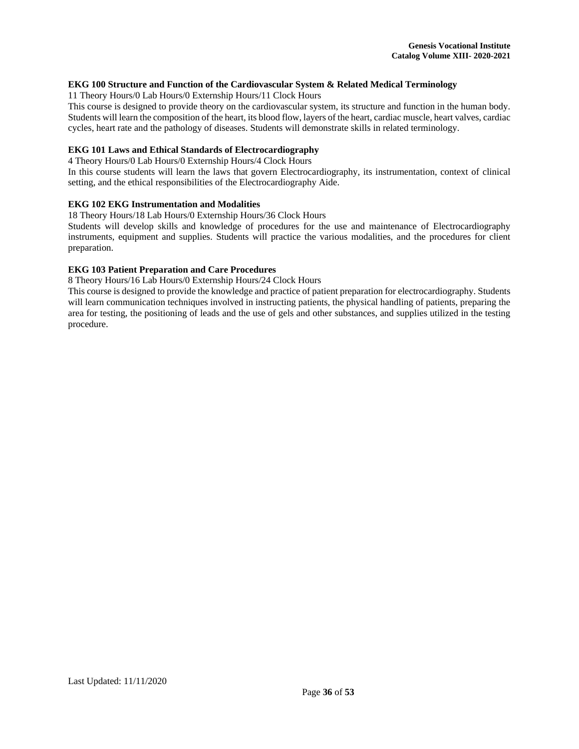# **EKG 100 Structure and Function of the Cardiovascular System & Related Medical Terminology**

11 Theory Hours/0 Lab Hours/0 Externship Hours/11 Clock Hours

This course is designed to provide theory on the cardiovascular system, its structure and function in the human body. Students will learn the composition of the heart, its blood flow, layers of the heart, cardiac muscle, heart valves, cardiac cycles, heart rate and the pathology of diseases. Students will demonstrate skills in related terminology.

# **EKG 101 Laws and Ethical Standards of Electrocardiography**

4 Theory Hours/0 Lab Hours/0 Externship Hours/4 Clock Hours

In this course students will learn the laws that govern Electrocardiography, its instrumentation, context of clinical setting, and the ethical responsibilities of the Electrocardiography Aide.

# **EKG 102 EKG Instrumentation and Modalities**

18 Theory Hours/18 Lab Hours/0 Externship Hours/36 Clock Hours

Students will develop skills and knowledge of procedures for the use and maintenance of Electrocardiography instruments, equipment and supplies. Students will practice the various modalities, and the procedures for client preparation.

# **EKG 103 Patient Preparation and Care Procedures**

8 Theory Hours/16 Lab Hours/0 Externship Hours/24 Clock Hours

This course is designed to provide the knowledge and practice of patient preparation for electrocardiography. Students will learn communication techniques involved in instructing patients, the physical handling of patients, preparing the area for testing, the positioning of leads and the use of gels and other substances, and supplies utilized in the testing procedure.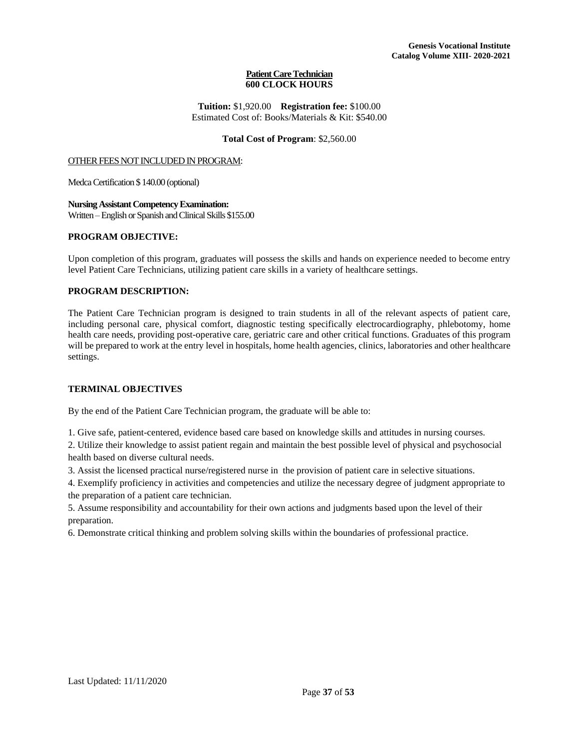#### **Patient Care Technician 600 CLOCK HOURS**

**Tuition:** \$1,920.00 **Registration fee:** \$100.00 Estimated Cost of: Books/Materials & Kit: \$540.00

#### **Total Cost of Program**: \$2,560.00

#### <span id="page-37-0"></span>OTHER FEES NOT INCLUDED IN PROGRAM:

MedcaCertification \$ 140.00 (optional)

**Nursing Assistant Competency Examination:**  Written –English or Spanish and Clinical Skills \$155.00

# **PROGRAM OBJECTIVE:**

Upon completion of this program, graduates will possess the skills and hands on experience needed to become entry level Patient Care Technicians, utilizing patient care skills in a variety of healthcare settings.

# **PROGRAM DESCRIPTION:**

The Patient Care Technician program is designed to train students in all of the relevant aspects of patient care, including personal care, physical comfort, diagnostic testing specifically electrocardiography, phlebotomy, home health care needs, providing post-operative care, geriatric care and other critical functions. Graduates of this program will be prepared to work at the entry level in hospitals, home health agencies, clinics, laboratories and other healthcare settings.

#### **TERMINAL OBJECTIVES**

By the end of the Patient Care Technician program, the graduate will be able to:

1. Give safe, patient-centered, evidence based care based on knowledge skills and attitudes in nursing courses.

2. Utilize their knowledge to assist patient regain and maintain the best possible level of physical and psychosocial health based on diverse cultural needs.

3. Assist the licensed practical nurse/registered nurse in the provision of patient care in selective situations.

4. Exemplify proficiency in activities and competencies and utilize the necessary degree of judgment appropriate to the preparation of a patient care technician.

5. Assume responsibility and accountability for their own actions and judgments based upon the level of their preparation.

6. Demonstrate critical thinking and problem solving skills within the boundaries of professional practice.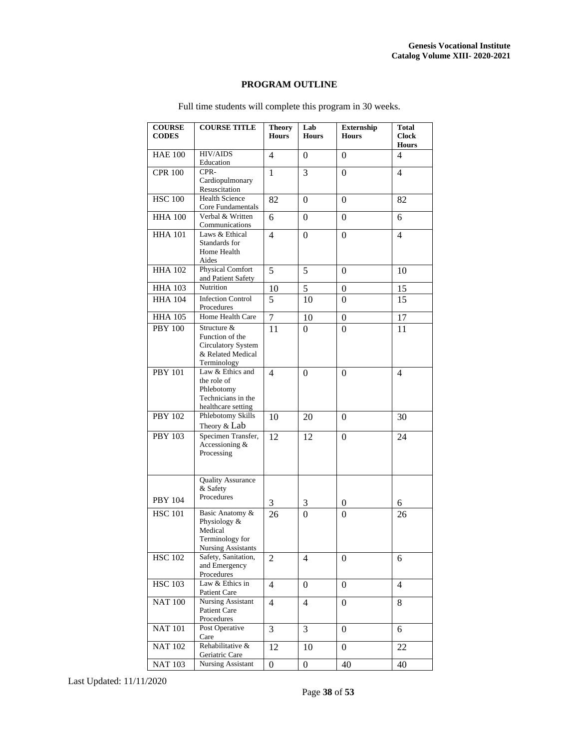# **PROGRAM OUTLINE**

| <b>COURSE</b><br><b>CODES</b> | <b>COURSE TITLE</b>                                                                        | <b>Theory</b><br><b>Hours</b> | Lab<br><b>Hours</b> | Externship<br><b>Hours</b> | <b>Total</b><br><b>Clock</b><br><b>Hours</b> |
|-------------------------------|--------------------------------------------------------------------------------------------|-------------------------------|---------------------|----------------------------|----------------------------------------------|
| <b>HAE 100</b>                | <b>HIV/AIDS</b><br>Education                                                               | 4                             | 0                   | 0                          | 4                                            |
| <b>CPR 100</b>                | CPR-<br>Cardiopulmonary<br>Resuscitation                                                   | 1                             | 3                   | $\theta$                   | $\overline{4}$                               |
| <b>HSC 100</b>                | <b>Health Science</b><br>Core Fundamentals                                                 | 82                            | 0                   | $\Omega$                   | 82                                           |
| <b>HHA 100</b>                | Verbal & Written<br>Communications                                                         | 6                             | 0                   | $\mathbf{0}$               | 6                                            |
| <b>HHA 101</b>                | Laws & Ethical<br>Standards for<br>Home Health<br>Aides                                    | $\overline{4}$                | $\Omega$            | $\Omega$                   | $\overline{4}$                               |
| <b>HHA 102</b>                | <b>Physical Comfort</b><br>and Patient Safety                                              | 5                             | 5                   | $\Omega$                   | 10                                           |
| <b>HHA 103</b>                | Nutrition                                                                                  | 10                            | 5                   | $\mathbf{0}$               | 15                                           |
| <b>HHA 104</b>                | <b>Infection Control</b><br>Procedures                                                     | 5                             | 10                  | $\mathbf{0}$               | 15                                           |
| <b>HHA 105</b>                | Home Health Care                                                                           | $\overline{7}$                | 10                  | $\boldsymbol{0}$           | 17                                           |
| <b>PBY 100</b>                | Structure &<br>Function of the<br>Circulatory System<br>& Related Medical<br>Terminology   | 11                            | 0                   | $\Omega$                   | 11                                           |
| <b>PBY 101</b>                | Law & Ethics and<br>the role of<br>Phlebotomy<br>Technicians in the<br>healthcare setting  | $\overline{4}$                | 0                   | $\theta$                   | $\overline{4}$                               |
| <b>PBY 102</b>                | Phlebotomy Skills<br>Theory & Lab                                                          | 10                            | 20                  | $\Omega$                   | 30                                           |
| <b>PBY 103</b>                | Specimen Transfer,<br>Accessioning &<br>Processing                                         | 12                            | 12                  | $\Omega$                   | 24                                           |
| <b>PBY 104</b>                | <b>Quality Assurance</b><br>& Safety<br>Procedures                                         |                               |                     |                            |                                              |
|                               |                                                                                            | 3                             | 3                   | 0                          | 6                                            |
| <b>HSC 101</b>                | Basic Anatomy &<br>Physiology &<br>Medical<br>Terminology for<br><b>Nursing Assistants</b> | 26                            | 0                   | $\theta$                   | 26                                           |
| <b>HSC 102</b>                | Safety, Sanitation,<br>and Emergency<br>Procedures                                         | 2                             | 4                   | 0                          | 6                                            |
| <b>HSC 103</b>                | Law & Ethics in<br>Patient Care                                                            | $\overline{4}$                | $\overline{0}$      | $\boldsymbol{0}$           | 4                                            |
| <b>NAT 100</b>                | <b>Nursing Assistant</b><br>Patient Care<br>Procedures                                     | 4                             | 4                   | $\mathbf{0}$               | 8                                            |
| <b>NAT 101</b>                | Post Operative<br>Care                                                                     | 3                             | 3                   | 0                          | 6                                            |
| <b>NAT 102</b>                | Rehabilitative &<br>Geriatric Care                                                         | 12                            | 10                  | $\Omega$                   | 22                                           |
| <b>NAT 103</b>                | Nursing Assistant                                                                          | 0                             | 0                   | 40                         | 40                                           |

Full time students will complete this program in 30 weeks.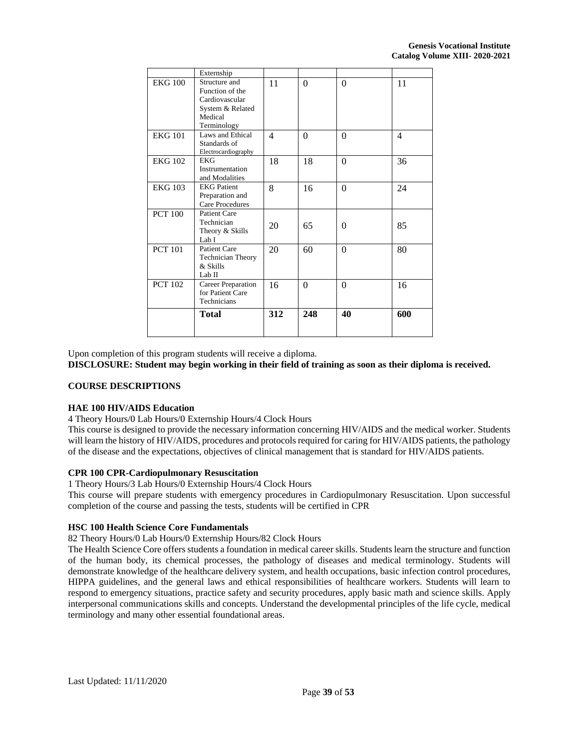|                | Externship                                                                                       |                |          |          |     |
|----------------|--------------------------------------------------------------------------------------------------|----------------|----------|----------|-----|
| <b>EKG 100</b> | Structure and<br>Function of the<br>Cardiovascular<br>System & Related<br>Medical<br>Terminology | 11             | $\theta$ | $\theta$ | 11  |
| <b>EKG 101</b> | Laws and Ethical<br>Standards of<br>Electrocardiography                                          | $\overline{4}$ | $\theta$ | $\theta$ | 4   |
| <b>EKG 102</b> | EKG<br>Instrumentation<br>and Modalities                                                         | 18             | 18       | $\theta$ | 36  |
| <b>EKG 103</b> | <b>EKG Patient</b><br>Preparation and<br>Care Procedures                                         | 8              | 16       | $\theta$ | 24  |
| <b>PCT 100</b> | <b>Patient Care</b><br>Technician<br>Theory & Skills<br>Lab I                                    | 20             | 65       | $\theta$ | 85  |
| <b>PCT 101</b> | <b>Patient Care</b><br>Technician Theory<br>& Skills<br>Lab II                                   | 20             | 60       | $\theta$ | 80  |
| <b>PCT 102</b> | Career Preparation<br>for Patient Care<br>Technicians                                            | 16             | $\theta$ | $\theta$ | 16  |
|                | Total                                                                                            | 312            | 248      | 40       | 600 |

Upon completion of this program students will receive a diploma.

**DISCLOSURE: Student may begin working in their field of training as soon as their diploma is received.**

#### **COURSE DESCRIPTIONS**

#### **HAE 100 HIV/AIDS Education**

4 Theory Hours/0 Lab Hours/0 Externship Hours/4 Clock Hours

This course is designed to provide the necessary information concerning HIV/AIDS and the medical worker. Students will learn the history of HIV/AIDS, procedures and protocols required for caring for HIV/AIDS patients, the pathology of the disease and the expectations, objectives of clinical management that is standard for HIV/AIDS patients.

# **CPR 100 CPR-Cardiopulmonary Resuscitation**

1 Theory Hours/3 Lab Hours/0 Externship Hours/4 Clock Hours

This course will prepare students with emergency procedures in Cardiopulmonary Resuscitation. Upon successful completion of the course and passing the tests, students will be certified in CPR

# **HSC 100 Health Science Core Fundamentals**

82 Theory Hours/0 Lab Hours/0 Externship Hours/82 Clock Hours

The Health Science Core offers students a foundation in medical career skills. Students learn the structure and function of the human body, its chemical processes, the pathology of diseases and medical terminology. Students will demonstrate knowledge of the healthcare delivery system, and health occupations, basic infection control procedures, HIPPA guidelines, and the general laws and ethical responsibilities of healthcare workers. Students will learn to respond to emergency situations, practice safety and security procedures, apply basic math and science skills. Apply interpersonal communications skills and concepts. Understand the developmental principles of the life cycle, medical terminology and many other essential foundational areas.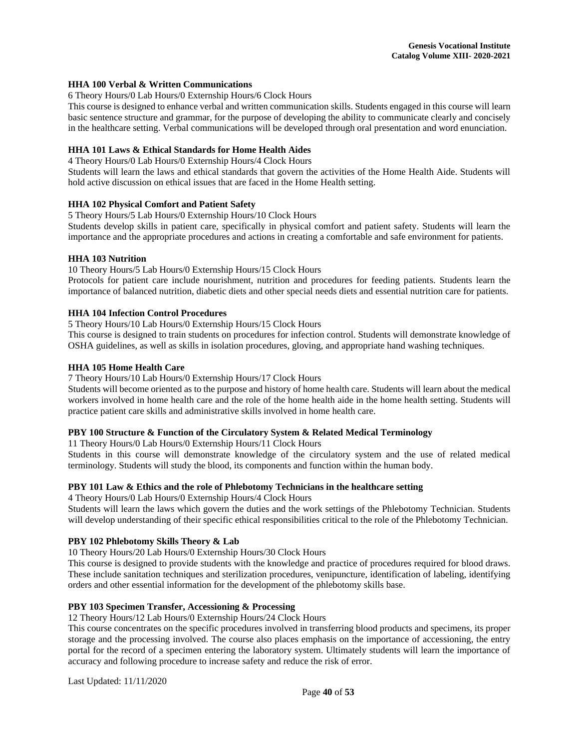#### **HHA 100 Verbal & Written Communications**

6 Theory Hours/0 Lab Hours/0 Externship Hours/6 Clock Hours

This course is designed to enhance verbal and written communication skills. Students engaged in this course will learn basic sentence structure and grammar, for the purpose of developing the ability to communicate clearly and concisely in the healthcare setting. Verbal communications will be developed through oral presentation and word enunciation.

# **HHA 101 Laws & Ethical Standards for Home Health Aides**

4 Theory Hours/0 Lab Hours/0 Externship Hours/4 Clock Hours

Students will learn the laws and ethical standards that govern the activities of the Home Health Aide. Students will hold active discussion on ethical issues that are faced in the Home Health setting.

# **HHA 102 Physical Comfort and Patient Safety**

5 Theory Hours/5 Lab Hours/0 Externship Hours/10 Clock Hours

Students develop skills in patient care, specifically in physical comfort and patient safety. Students will learn the importance and the appropriate procedures and actions in creating a comfortable and safe environment for patients.

# **HHA 103 Nutrition**

10 Theory Hours/5 Lab Hours/0 Externship Hours/15 Clock Hours

Protocols for patient care include nourishment, nutrition and procedures for feeding patients. Students learn the importance of balanced nutrition, diabetic diets and other special needs diets and essential nutrition care for patients.

# **HHA 104 Infection Control Procedures**

5 Theory Hours/10 Lab Hours/0 Externship Hours/15 Clock Hours

This course is designed to train students on procedures for infection control. Students will demonstrate knowledge of OSHA guidelines, as well as skills in isolation procedures, gloving, and appropriate hand washing techniques.

# **HHA 105 Home Health Care**

## 7 Theory Hours/10 Lab Hours/0 Externship Hours/17 Clock Hours

Students will become oriented as to the purpose and history of home health care. Students will learn about the medical workers involved in home health care and the role of the home health aide in the home health setting. Students will practice patient care skills and administrative skills involved in home health care.

#### **PBY 100 Structure & Function of the Circulatory System & Related Medical Terminology**

11 Theory Hours/0 Lab Hours/0 Externship Hours/11 Clock Hours

Students in this course will demonstrate knowledge of the circulatory system and the use of related medical terminology. Students will study the blood, its components and function within the human body.

# **PBY 101 Law & Ethics and the role of Phlebotomy Technicians in the healthcare setting**

4 Theory Hours/0 Lab Hours/0 Externship Hours/4 Clock Hours

Students will learn the laws which govern the duties and the work settings of the Phlebotomy Technician. Students will develop understanding of their specific ethical responsibilities critical to the role of the Phlebotomy Technician.

# **PBY 102 Phlebotomy Skills Theory & Lab**

10 Theory Hours/20 Lab Hours/0 Externship Hours/30 Clock Hours

This course is designed to provide students with the knowledge and practice of procedures required for blood draws. These include sanitation techniques and sterilization procedures, venipuncture, identification of labeling, identifying orders and other essential information for the development of the phlebotomy skills base.

# **PBY 103 Specimen Transfer, Accessioning & Processing**

12 Theory Hours/12 Lab Hours/0 Externship Hours/24 Clock Hours

This course concentrates on the specific procedures involved in transferring blood products and specimens, its proper storage and the processing involved. The course also places emphasis on the importance of accessioning, the entry portal for the record of a specimen entering the laboratory system. Ultimately students will learn the importance of accuracy and following procedure to increase safety and reduce the risk of error.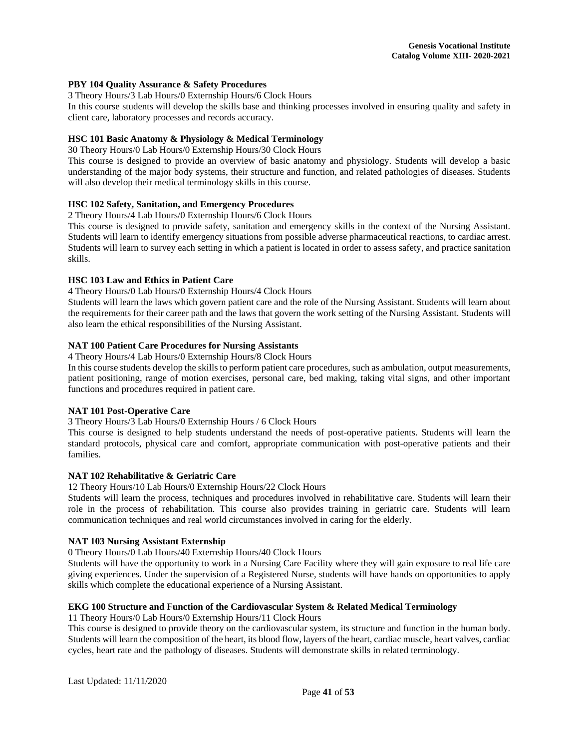## **PBY 104 Quality Assurance & Safety Procedures**

3 Theory Hours/3 Lab Hours/0 Externship Hours/6 Clock Hours

In this course students will develop the skills base and thinking processes involved in ensuring quality and safety in client care, laboratory processes and records accuracy.

# **HSC 101 Basic Anatomy & Physiology & Medical Terminology**

30 Theory Hours/0 Lab Hours/0 Externship Hours/30 Clock Hours

This course is designed to provide an overview of basic anatomy and physiology. Students will develop a basic understanding of the major body systems, their structure and function, and related pathologies of diseases. Students will also develop their medical terminology skills in this course.

# **HSC 102 Safety, Sanitation, and Emergency Procedures**

2 Theory Hours/4 Lab Hours/0 Externship Hours/6 Clock Hours

This course is designed to provide safety, sanitation and emergency skills in the context of the Nursing Assistant. Students will learn to identify emergency situations from possible adverse pharmaceutical reactions, to cardiac arrest. Students will learn to survey each setting in which a patient is located in order to assess safety, and practice sanitation skills.

# **HSC 103 Law and Ethics in Patient Care**

4 Theory Hours/0 Lab Hours/0 Externship Hours/4 Clock Hours

Students will learn the laws which govern patient care and the role of the Nursing Assistant. Students will learn about the requirements for their career path and the laws that govern the work setting of the Nursing Assistant. Students will also learn the ethical responsibilities of the Nursing Assistant.

# **NAT 100 Patient Care Procedures for Nursing Assistants**

4 Theory Hours/4 Lab Hours/0 Externship Hours/8 Clock Hours

In this course students develop the skills to perform patient care procedures, such as ambulation, output measurements, patient positioning, range of motion exercises, personal care, bed making, taking vital signs, and other important functions and procedures required in patient care.

# **NAT 101 Post-Operative Care**

3 Theory Hours/3 Lab Hours/0 Externship Hours / 6 Clock Hours

This course is designed to help students understand the needs of post-operative patients. Students will learn the standard protocols, physical care and comfort, appropriate communication with post-operative patients and their families.

#### **NAT 102 Rehabilitative & Geriatric Care**

12 Theory Hours/10 Lab Hours/0 Externship Hours/22 Clock Hours

Students will learn the process, techniques and procedures involved in rehabilitative care. Students will learn their role in the process of rehabilitation. This course also provides training in geriatric care. Students will learn communication techniques and real world circumstances involved in caring for the elderly.

#### **NAT 103 Nursing Assistant Externship**

0 Theory Hours/0 Lab Hours/40 Externship Hours/40 Clock Hours

Students will have the opportunity to work in a Nursing Care Facility where they will gain exposure to real life care giving experiences. Under the supervision of a Registered Nurse, students will have hands on opportunities to apply skills which complete the educational experience of a Nursing Assistant.

# **EKG 100 Structure and Function of the Cardiovascular System & Related Medical Terminology**

11 Theory Hours/0 Lab Hours/0 Externship Hours/11 Clock Hours

This course is designed to provide theory on the cardiovascular system, its structure and function in the human body. Students will learn the composition of the heart, its blood flow, layers of the heart, cardiac muscle, heart valves, cardiac cycles, heart rate and the pathology of diseases. Students will demonstrate skills in related terminology.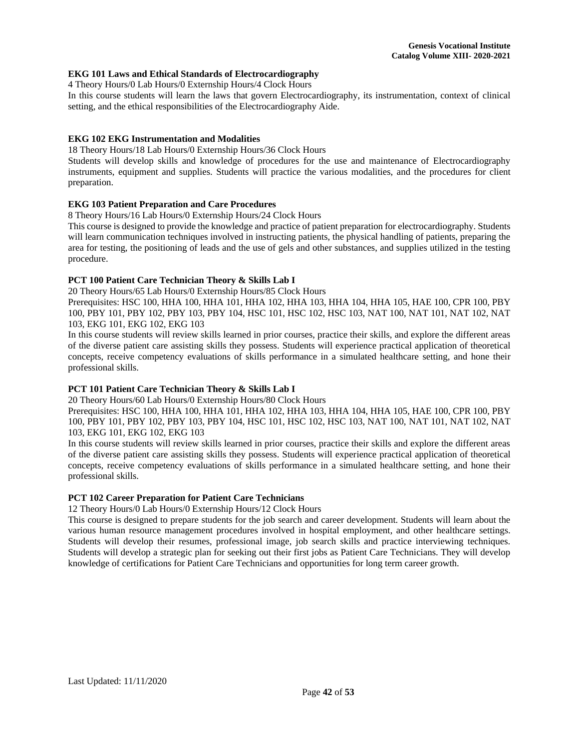# **EKG 101 Laws and Ethical Standards of Electrocardiography**

4 Theory Hours/0 Lab Hours/0 Externship Hours/4 Clock Hours

In this course students will learn the laws that govern Electrocardiography, its instrumentation, context of clinical setting, and the ethical responsibilities of the Electrocardiography Aide.

# **EKG 102 EKG Instrumentation and Modalities**

18 Theory Hours/18 Lab Hours/0 Externship Hours/36 Clock Hours

Students will develop skills and knowledge of procedures for the use and maintenance of Electrocardiography instruments, equipment and supplies. Students will practice the various modalities, and the procedures for client preparation.

# **EKG 103 Patient Preparation and Care Procedures**

8 Theory Hours/16 Lab Hours/0 Externship Hours/24 Clock Hours

This course is designed to provide the knowledge and practice of patient preparation for electrocardiography. Students will learn communication techniques involved in instructing patients, the physical handling of patients, preparing the area for testing, the positioning of leads and the use of gels and other substances, and supplies utilized in the testing procedure.

# **PCT 100 Patient Care Technician Theory & Skills Lab I**

20 Theory Hours/65 Lab Hours/0 Externship Hours/85 Clock Hours

Prerequisites: HSC 100, HHA 100, HHA 101, HHA 102, HHA 103, HHA 104, HHA 105, HAE 100, CPR 100, PBY 100, PBY 101, PBY 102, PBY 103, PBY 104, HSC 101, HSC 102, HSC 103, NAT 100, NAT 101, NAT 102, NAT 103, EKG 101, EKG 102, EKG 103

In this course students will review skills learned in prior courses, practice their skills, and explore the different areas of the diverse patient care assisting skills they possess. Students will experience practical application of theoretical concepts, receive competency evaluations of skills performance in a simulated healthcare setting, and hone their professional skills.

# **PCT 101 Patient Care Technician Theory & Skills Lab I**

20 Theory Hours/60 Lab Hours/0 Externship Hours/80 Clock Hours

Prerequisites: HSC 100, HHA 100, HHA 101, HHA 102, HHA 103, HHA 104, HHA 105, HAE 100, CPR 100, PBY 100, PBY 101, PBY 102, PBY 103, PBY 104, HSC 101, HSC 102, HSC 103, NAT 100, NAT 101, NAT 102, NAT 103, EKG 101, EKG 102, EKG 103

In this course students will review skills learned in prior courses, practice their skills and explore the different areas of the diverse patient care assisting skills they possess. Students will experience practical application of theoretical concepts, receive competency evaluations of skills performance in a simulated healthcare setting, and hone their professional skills.

#### **PCT 102 Career Preparation for Patient Care Technicians**

12 Theory Hours/0 Lab Hours/0 Externship Hours/12 Clock Hours

This course is designed to prepare students for the job search and career development. Students will learn about the various human resource management procedures involved in hospital employment, and other healthcare settings. Students will develop their resumes, professional image, job search skills and practice interviewing techniques. Students will develop a strategic plan for seeking out their first jobs as Patient Care Technicians. They will develop knowledge of certifications for Patient Care Technicians and opportunities for long term career growth.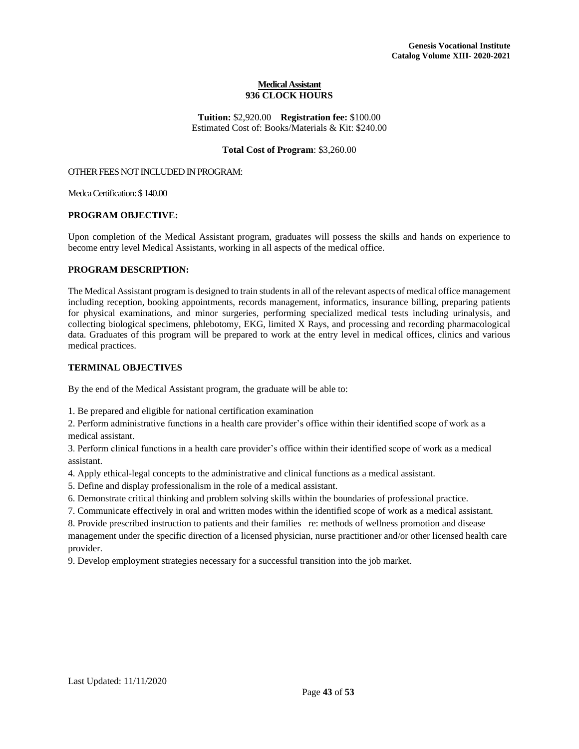#### **Medical Assistant 936 CLOCK HOURS**

**Tuition:** \$2,920.00 **Registration fee:** \$100.00 Estimated Cost of: Books/Materials & Kit: \$240.00

# **Total Cost of Program**: \$3,260.00

#### <span id="page-43-0"></span>OTHER FEES NOT INCLUDED IN PROGRAM:

Medca Certification: \$ 140.00

#### **PROGRAM OBJECTIVE:**

Upon completion of the Medical Assistant program, graduates will possess the skills and hands on experience to become entry level Medical Assistants, working in all aspects of the medical office.

#### **PROGRAM DESCRIPTION:**

The Medical Assistant program is designed to train students in all of the relevant aspects of medical office management including reception, booking appointments, records management, informatics, insurance billing, preparing patients for physical examinations, and minor surgeries, performing specialized medical tests including urinalysis, and collecting biological specimens, phlebotomy, EKG, limited X Rays, and processing and recording pharmacological data. Graduates of this program will be prepared to work at the entry level in medical offices, clinics and various medical practices.

#### **TERMINAL OBJECTIVES**

By the end of the Medical Assistant program, the graduate will be able to:

1. Be prepared and eligible for national certification examination

2. Perform administrative functions in a health care provider's office within their identified scope of work as a medical assistant.

3. Perform clinical functions in a health care provider's office within their identified scope of work as a medical assistant.

4. Apply ethical-legal concepts to the administrative and clinical functions as a medical assistant.

5. Define and display professionalism in the role of a medical assistant.

6. Demonstrate critical thinking and problem solving skills within the boundaries of professional practice.

7. Communicate effectively in oral and written modes within the identified scope of work as a medical assistant.

8. Provide prescribed instruction to patients and their families re: methods of wellness promotion and disease management under the specific direction of a licensed physician, nurse practitioner and/or other licensed health care provider.

9. Develop employment strategies necessary for a successful transition into the job market.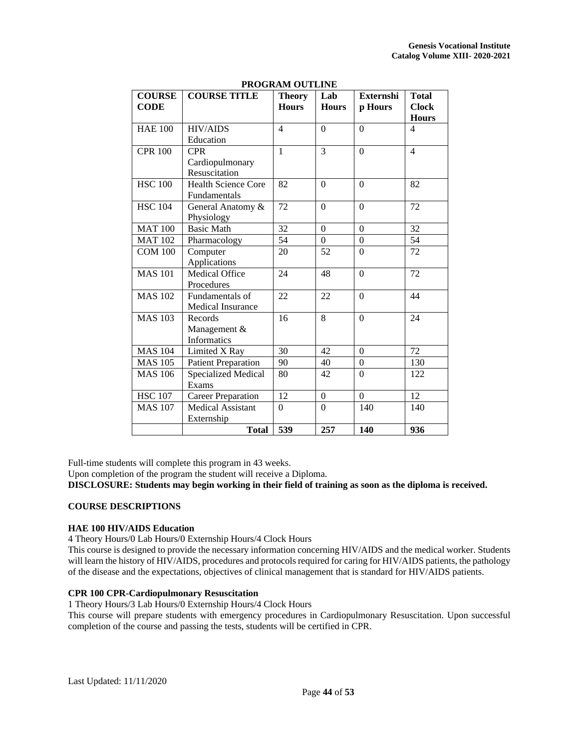| <b>COURSE</b>  | <b>COURSE TITLE</b>        | I ROQIVANI OUTEIME<br><b>Theory</b> | Lab            | <b>Externshi</b> | <b>Total</b>                 |
|----------------|----------------------------|-------------------------------------|----------------|------------------|------------------------------|
| <b>CODE</b>    |                            | <b>Hours</b>                        | <b>Hours</b>   | p Hours          | <b>Clock</b><br><b>Hours</b> |
| <b>HAE 100</b> | <b>HIV/AIDS</b>            | $\overline{\mathcal{L}}$            | $\overline{0}$ | $\Omega$         | 4                            |
|                | Education                  |                                     |                |                  |                              |
| <b>CPR 100</b> | <b>CPR</b>                 | $\mathbf{1}$                        | 3              | $\overline{0}$   | $\overline{4}$               |
|                | Cardiopulmonary            |                                     |                |                  |                              |
|                | Resuscitation              |                                     |                |                  |                              |
| <b>HSC 100</b> | <b>Health Science Core</b> | 82                                  | $\overline{0}$ | $\Omega$         | 82                           |
|                | Fundamentals               |                                     |                |                  |                              |
| <b>HSC 104</b> | General Anatomy &          | 72                                  | $\Omega$       | $\Omega$         | 72                           |
|                | Physiology                 |                                     |                |                  |                              |
| <b>MAT 100</b> | <b>Basic Math</b>          | 32                                  | $\Omega$       | $\Omega$         | 32                           |
| <b>MAT 102</b> | Pharmacology               | $\overline{54}$                     | $\theta$       | $\overline{0}$   | $\overline{54}$              |
| <b>COM 100</b> | Computer                   | 20                                  | 52             | $\boldsymbol{0}$ | 72                           |
|                | Applications               |                                     |                |                  |                              |
| <b>MAS 101</b> | <b>Medical Office</b>      | 24                                  | 48             | $\mathbf{0}$     | 72                           |
|                | Procedures                 |                                     |                |                  |                              |
| <b>MAS 102</b> | Fundamentals of            | 22                                  | 22             | $\Omega$         | 44                           |
|                | Medical Insurance          |                                     |                |                  |                              |
| <b>MAS 103</b> | Records                    | 16                                  | 8              | $\overline{0}$   | 24                           |
|                | Management &               |                                     |                |                  |                              |
|                | <b>Informatics</b>         |                                     |                |                  |                              |
| <b>MAS 104</b> | Limited X Ray              | 30                                  | 42             | $\Omega$         | 72                           |
| <b>MAS 105</b> | <b>Patient Preparation</b> | 90                                  | 40             | $\boldsymbol{0}$ | 130                          |
| <b>MAS 106</b> | <b>Specialized Medical</b> | 80                                  | 42             | $\boldsymbol{0}$ | 122                          |
|                | Exams                      |                                     |                |                  |                              |
| <b>HSC 107</b> | <b>Career Preparation</b>  | 12                                  | $\mathbf{0}$   | $\overline{0}$   | 12                           |
| <b>MAS 107</b> | <b>Medical Assistant</b>   | $\Omega$                            | $\Omega$       | 140              | 140                          |
|                | Externship                 |                                     |                |                  |                              |
|                | <b>Total</b>               | 539                                 | 257            | 140              | 936                          |

**PROGRAM OUTLINE** 

Full-time students will complete this program in 43 weeks.

Upon completion of the program the student will receive a Diploma.

**DISCLOSURE: Students may begin working in their field of training as soon as the diploma is received.**

# **COURSE DESCRIPTIONS**

# **HAE 100 HIV/AIDS Education**

4 Theory Hours/0 Lab Hours/0 Externship Hours/4 Clock Hours

This course is designed to provide the necessary information concerning HIV/AIDS and the medical worker. Students will learn the history of HIV/AIDS, procedures and protocols required for caring for HIV/AIDS patients, the pathology of the disease and the expectations, objectives of clinical management that is standard for HIV/AIDS patients.

# **CPR 100 CPR-Cardiopulmonary Resuscitation**

1 Theory Hours/3 Lab Hours/0 Externship Hours/4 Clock Hours

This course will prepare students with emergency procedures in Cardiopulmonary Resuscitation. Upon successful completion of the course and passing the tests, students will be certified in CPR.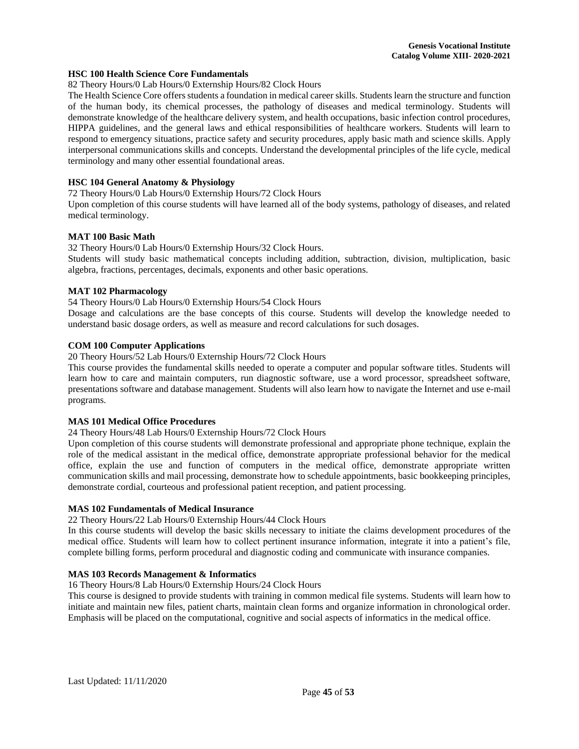#### **HSC 100 Health Science Core Fundamentals**

82 Theory Hours/0 Lab Hours/0 Externship Hours/82 Clock Hours

The Health Science Core offers students a foundation in medical career skills. Students learn the structure and function of the human body, its chemical processes, the pathology of diseases and medical terminology. Students will demonstrate knowledge of the healthcare delivery system, and health occupations, basic infection control procedures, HIPPA guidelines, and the general laws and ethical responsibilities of healthcare workers. Students will learn to respond to emergency situations, practice safety and security procedures, apply basic math and science skills. Apply interpersonal communications skills and concepts. Understand the developmental principles of the life cycle, medical terminology and many other essential foundational areas.

# **HSC 104 General Anatomy & Physiology**

72 Theory Hours/0 Lab Hours/0 Externship Hours/72 Clock Hours

Upon completion of this course students will have learned all of the body systems, pathology of diseases, and related medical terminology.

#### **MAT 100 Basic Math**

32 Theory Hours/0 Lab Hours/0 Externship Hours/32 Clock Hours. Students will study basic mathematical concepts including addition, subtraction, division, multiplication, basic algebra, fractions, percentages, decimals, exponents and other basic operations.

#### **MAT 102 Pharmacology**

54 Theory Hours/0 Lab Hours/0 Externship Hours/54 Clock Hours

Dosage and calculations are the base concepts of this course. Students will develop the knowledge needed to understand basic dosage orders, as well as measure and record calculations for such dosages.

#### **COM 100 Computer Applications**

20 Theory Hours/52 Lab Hours/0 Externship Hours/72 Clock Hours

This course provides the fundamental skills needed to operate a computer and popular software titles. Students will learn how to care and maintain computers, run diagnostic software, use a word processor, spreadsheet software, presentations software and database management. Students will also learn how to navigate the Internet and use e-mail programs.

#### **MAS 101 Medical Office Procedures**

24 Theory Hours/48 Lab Hours/0 Externship Hours/72 Clock Hours

Upon completion of this course students will demonstrate professional and appropriate phone technique, explain the role of the medical assistant in the medical office, demonstrate appropriate professional behavior for the medical office, explain the use and function of computers in the medical office, demonstrate appropriate written communication skills and mail processing, demonstrate how to schedule appointments, basic bookkeeping principles, demonstrate cordial, courteous and professional patient reception, and patient processing.

#### **MAS 102 Fundamentals of Medical Insurance**

22 Theory Hours/22 Lab Hours/0 Externship Hours/44 Clock Hours

In this course students will develop the basic skills necessary to initiate the claims development procedures of the medical office. Students will learn how to collect pertinent insurance information, integrate it into a patient's file, complete billing forms, perform procedural and diagnostic coding and communicate with insurance companies.

#### **MAS 103 Records Management & Informatics**

16 Theory Hours/8 Lab Hours/0 Externship Hours/24 Clock Hours

This course is designed to provide students with training in common medical file systems. Students will learn how to initiate and maintain new files, patient charts, maintain clean forms and organize information in chronological order. Emphasis will be placed on the computational, cognitive and social aspects of informatics in the medical office.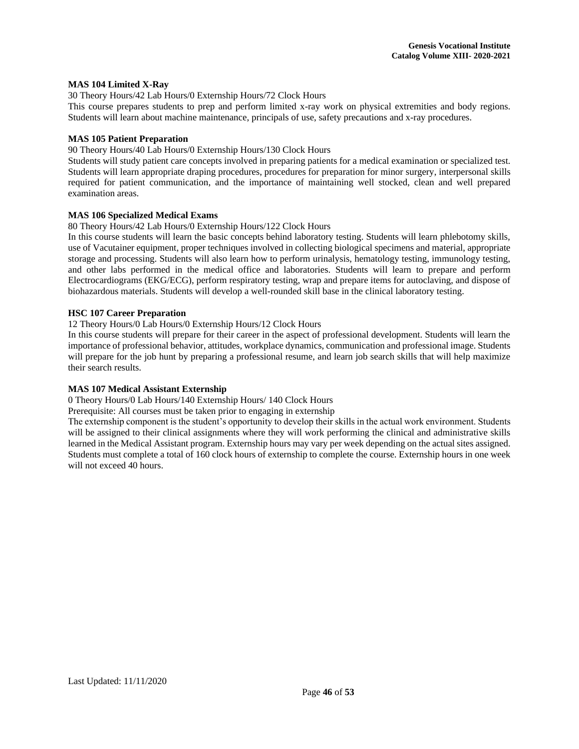#### **MAS 104 Limited X-Ray**

30 Theory Hours/42 Lab Hours/0 Externship Hours/72 Clock Hours

This course prepares students to prep and perform limited x-ray work on physical extremities and body regions. Students will learn about machine maintenance, principals of use, safety precautions and x-ray procedures.

# **MAS 105 Patient Preparation**

90 Theory Hours/40 Lab Hours/0 Externship Hours/130 Clock Hours

Students will study patient care concepts involved in preparing patients for a medical examination or specialized test. Students will learn appropriate draping procedures, procedures for preparation for minor surgery, interpersonal skills required for patient communication, and the importance of maintaining well stocked, clean and well prepared examination areas.

# **MAS 106 Specialized Medical Exams**

#### 80 Theory Hours/42 Lab Hours/0 Externship Hours/122 Clock Hours

In this course students will learn the basic concepts behind laboratory testing. Students will learn phlebotomy skills, use of Vacutainer equipment, proper techniques involved in collecting biological specimens and material, appropriate storage and processing. Students will also learn how to perform urinalysis, hematology testing, immunology testing, and other labs performed in the medical office and laboratories. Students will learn to prepare and perform Electrocardiograms (EKG/ECG), perform respiratory testing, wrap and prepare items for autoclaving, and dispose of biohazardous materials. Students will develop a well-rounded skill base in the clinical laboratory testing.

# **HSC 107 Career Preparation**

# 12 Theory Hours/0 Lab Hours/0 Externship Hours/12 Clock Hours

In this course students will prepare for their career in the aspect of professional development. Students will learn the importance of professional behavior, attitudes, workplace dynamics, communication and professional image. Students will prepare for the job hunt by preparing a professional resume, and learn job search skills that will help maximize their search results.

# **MAS 107 Medical Assistant Externship**

0 Theory Hours/0 Lab Hours/140 Externship Hours/ 140 Clock Hours

Prerequisite: All courses must be taken prior to engaging in externship

The externship component is the student's opportunity to develop their skills in the actual work environment. Students will be assigned to their clinical assignments where they will work performing the clinical and administrative skills learned in the Medical Assistant program. Externship hours may vary per week depending on the actual sites assigned. Students must complete a total of 160 clock hours of externship to complete the course. Externship hours in one week will not exceed 40 hours.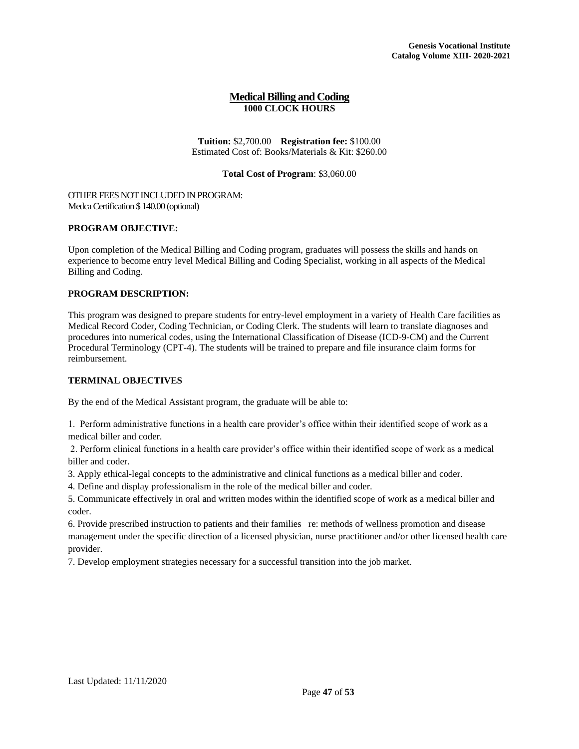# **Medical Billing and Coding 1000 CLOCK HOURS**

**Tuition:** \$2,700.00 **Registration fee:** \$100.00 Estimated Cost of: Books/Materials & Kit: \$260.00

# **Total Cost of Program**: \$3,060.00

<span id="page-47-0"></span>OTHER FEES NOT INCLUDED IN PROGRAM: Medca Certification \$ 140.00 (optional)

## **PROGRAM OBJECTIVE:**

Upon completion of the Medical Billing and Coding program, graduates will possess the skills and hands on experience to become entry level Medical Billing and Coding Specialist, working in all aspects of the Medical Billing and Coding.

# **PROGRAM DESCRIPTION:**

This program was designed to prepare students for entry-level employment in a variety of Health Care facilities as Medical Record Coder, Coding Technician, or Coding Clerk. The students will learn to translate diagnoses and procedures into numerical codes, using the International Classification of Disease (ICD-9-CM) and the Current Procedural Terminology (CPT-4). The students will be trained to prepare and file insurance claim forms for reimbursement.

# **TERMINAL OBJECTIVES**

By the end of the Medical Assistant program, the graduate will be able to:

1. Perform administrative functions in a health care provider's office within their identified scope of work as a medical biller and coder.

2. Perform clinical functions in a health care provider's office within their identified scope of work as a medical biller and coder.

3. Apply ethical-legal concepts to the administrative and clinical functions as a medical biller and coder.

4. Define and display professionalism in the role of the medical biller and coder.

5. Communicate effectively in oral and written modes within the identified scope of work as a medical biller and coder.

6. Provide prescribed instruction to patients and their families re: methods of wellness promotion and disease management under the specific direction of a licensed physician, nurse practitioner and/or other licensed health care provider.

7. Develop employment strategies necessary for a successful transition into the job market.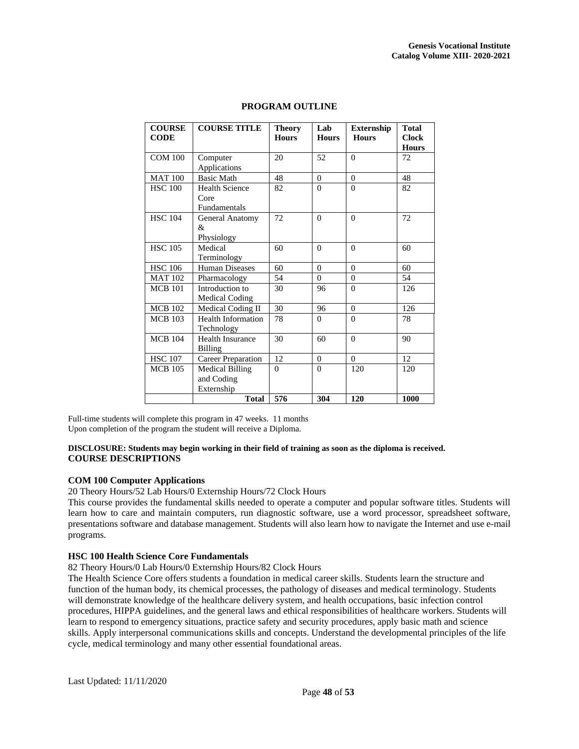| <b>COURSE</b><br><b>CODE</b> | <b>COURSE TITLE</b>                                  | <b>Theory</b><br><b>Hours</b> | Lab<br><b>Hours</b> | <b>Externship</b><br><b>Hours</b> | <b>Total</b><br><b>Clock</b><br><b>Hours</b> |
|------------------------------|------------------------------------------------------|-------------------------------|---------------------|-----------------------------------|----------------------------------------------|
| <b>COM 100</b>               | Computer<br>Applications                             | 20                            | 52                  | $\Omega$                          | 72                                           |
| <b>MAT 100</b>               | <b>Basic Math</b>                                    | 48                            | $\Omega$            | $\Omega$                          | 48                                           |
| <b>HSC 100</b>               | <b>Health Science</b><br>Core<br><b>Fundamentals</b> | 82                            | $\Omega$            | $\Omega$                          | 82                                           |
| <b>HSC 104</b>               | <b>General Anatomy</b><br>&<br>Physiology            | 72                            | $\Omega$            | $\Omega$                          | 72                                           |
| <b>HSC 105</b>               | Medical<br>Terminology                               | 60                            | $\Omega$            | $\Omega$                          | 60                                           |
| <b>HSC 106</b>               | <b>Human Diseases</b>                                | 60                            | $\Omega$            | $\Omega$                          | 60                                           |
| <b>MAT 102</b>               | Pharmacology                                         | 54                            | $\Omega$            | $\Omega$                          | 54                                           |
| <b>MCB 101</b>               | Introduction to<br><b>Medical Coding</b>             | 30                            | 96                  | $\Omega$                          | 126                                          |
| <b>MCB</b> 102               | Medical Coding II                                    | 30                            | 96                  | $\Omega$                          | 126                                          |
| <b>MCB 103</b>               | <b>Health Information</b><br>Technology              | 78                            | $\Omega$            | $\Omega$                          | 78                                           |
| <b>MCB 104</b>               | <b>Health Insurance</b><br><b>Billing</b>            | 30                            | 60                  | $\Omega$                          | 90                                           |
| <b>HSC 107</b>               | <b>Career Preparation</b>                            | 12                            | $\Omega$            | $\Omega$                          | 12                                           |
| <b>MCB</b> 105               | <b>Medical Billing</b><br>and Coding<br>Externship   | $\theta$                      | $\Omega$            | 120                               | 120                                          |
|                              | <b>Total</b>                                         | 576                           | 304                 | 120                               | 1000                                         |

# **PROGRAM OUTLINE**

Full-time students will complete this program in 47 weeks. 11 months Upon completion of the program the student will receive a Diploma.

# **DISCLOSURE: Students may begin working in their field of training as soon as the diploma is received. COURSE DESCRIPTIONS**

# **COM 100 Computer Applications**

20 Theory Hours/52 Lab Hours/0 Externship Hours/72 Clock Hours

This course provides the fundamental skills needed to operate a computer and popular software titles. Students will learn how to care and maintain computers, run diagnostic software, use a word processor, spreadsheet software, presentations software and database management. Students will also learn how to navigate the Internet and use e-mail programs.

#### **HSC 100 Health Science Core Fundamentals**

82 Theory Hours/0 Lab Hours/0 Externship Hours/82 Clock Hours

The Health Science Core offers students a foundation in medical career skills. Students learn the structure and function of the human body, its chemical processes, the pathology of diseases and medical terminology. Students will demonstrate knowledge of the healthcare delivery system, and health occupations, basic infection control procedures, HIPPA guidelines, and the general laws and ethical responsibilities of healthcare workers. Students will learn to respond to emergency situations, practice safety and security procedures, apply basic math and science skills. Apply interpersonal communications skills and concepts. Understand the developmental principles of the life cycle, medical terminology and many other essential foundational areas.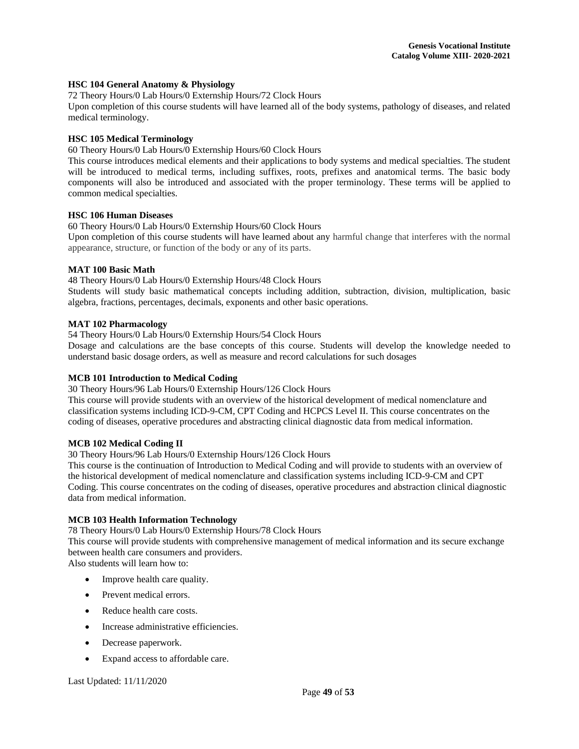#### **HSC 104 General Anatomy & Physiology**

72 Theory Hours/0 Lab Hours/0 Externship Hours/72 Clock Hours

Upon completion of this course students will have learned all of the body systems, pathology of diseases, and related medical terminology.

# **HSC 105 Medical Terminology**

60 Theory Hours/0 Lab Hours/0 Externship Hours/60 Clock Hours

This course introduces medical elements and their applications to body systems and medical specialties. The student will be introduced to medical terms, including suffixes, roots, prefixes and anatomical terms. The basic body components will also be introduced and associated with the proper terminology. These terms will be applied to common medical specialties.

# **HSC 106 Human Diseases**

60 Theory Hours/0 Lab Hours/0 Externship Hours/60 Clock Hours

Upon completion of this course students will have learned about any harmful change that interferes with the normal appearance, structure, or function of the body or any of its parts.

# **MAT 100 Basic Math**

48 Theory Hours/0 Lab Hours/0 Externship Hours/48 Clock Hours Students will study basic mathematical concepts including addition, subtraction, division, multiplication, basic algebra, fractions, percentages, decimals, exponents and other basic operations.

# **MAT 102 Pharmacology**

54 Theory Hours/0 Lab Hours/0 Externship Hours/54 Clock Hours

Dosage and calculations are the base concepts of this course. Students will develop the knowledge needed to understand basic dosage orders, as well as measure and record calculations for such dosages

# **MCB 101 Introduction to Medical Coding**

30 Theory Hours/96 Lab Hours/0 Externship Hours/126 Clock Hours

This course will provide students with an overview of the historical development of medical nomenclature and classification systems including ICD-9-CM, CPT Coding and HCPCS Level II. This course concentrates on the coding of diseases, operative procedures and abstracting clinical diagnostic data from medical information.

# **MCB 102 Medical Coding II**

30 Theory Hours/96 Lab Hours/0 Externship Hours/126 Clock Hours

This course is the continuation of Introduction to Medical Coding and will provide to students with an overview of the historical development of medical nomenclature and classification systems including ICD-9-CM and CPT Coding. This course concentrates on the coding of diseases, operative procedures and abstraction clinical diagnostic data from medical information.

# **MCB 103 Health Information Technology**

78 Theory Hours/0 Lab Hours/0 Externship Hours/78 Clock Hours

This course will provide students with comprehensive management of medical information and its secure exchange between health care consumers and providers.

Also students will learn how to:

- Improve health care quality.
- Prevent medical errors.
- Reduce health care costs.
- Increase administrative efficiencies.
- Decrease paperwork.
- Expand access to affordable care.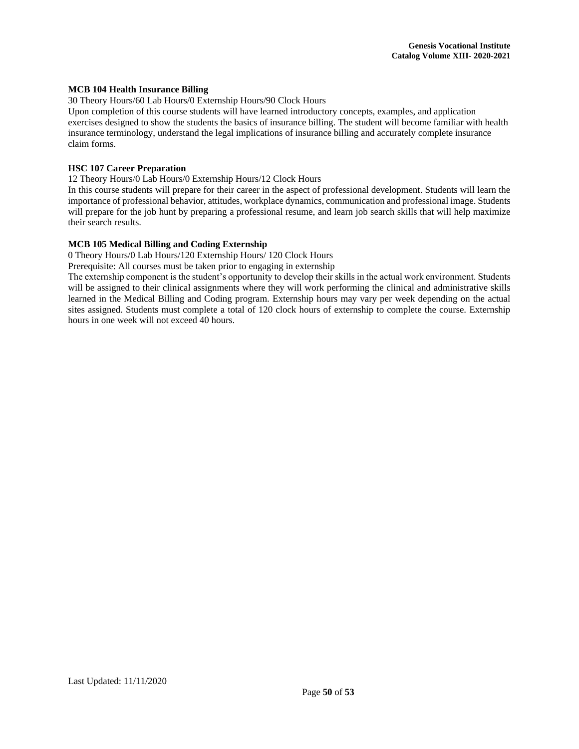#### **MCB 104 Health Insurance Billing**

30 Theory Hours/60 Lab Hours/0 Externship Hours/90 Clock Hours

Upon completion of this course students will have learned introductory concepts, examples, and application exercises designed to show the students the basics of insurance billing. The student will become familiar with health insurance terminology, understand the legal implications of insurance billing and accurately complete insurance claim forms.

# **HSC 107 Career Preparation**

12 Theory Hours/0 Lab Hours/0 Externship Hours/12 Clock Hours

In this course students will prepare for their career in the aspect of professional development. Students will learn the importance of professional behavior, attitudes, workplace dynamics, communication and professional image. Students will prepare for the job hunt by preparing a professional resume, and learn job search skills that will help maximize their search results.

# **MCB 105 Medical Billing and Coding Externship**

0 Theory Hours/0 Lab Hours/120 Externship Hours/ 120 Clock Hours

Prerequisite: All courses must be taken prior to engaging in externship

The externship component is the student's opportunity to develop their skills in the actual work environment. Students will be assigned to their clinical assignments where they will work performing the clinical and administrative skills learned in the Medical Billing and Coding program. Externship hours may vary per week depending on the actual sites assigned. Students must complete a total of 120 clock hours of externship to complete the course. Externship hours in one week will not exceed 40 hours.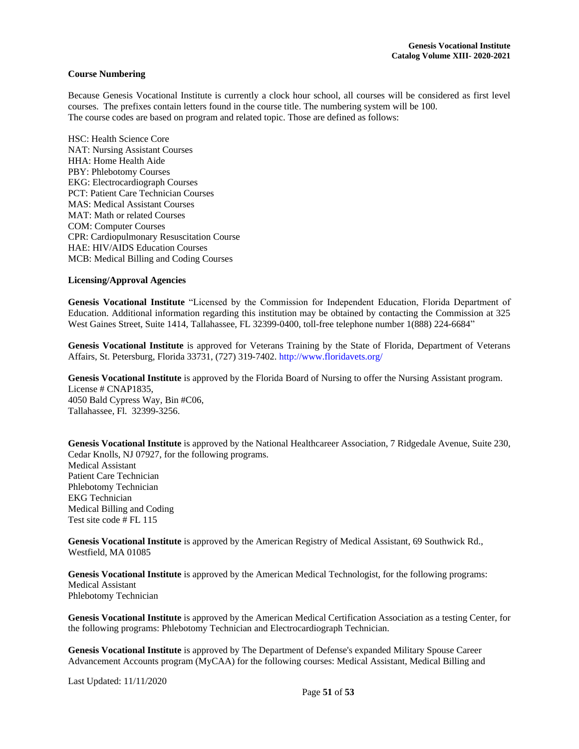#### <span id="page-51-0"></span>**Course Numbering**

Because Genesis Vocational Institute is currently a clock hour school, all courses will be considered as first level courses. The prefixes contain letters found in the course title. The numbering system will be 100. The course codes are based on program and related topic. Those are defined as follows:

HSC: Health Science Core NAT: Nursing Assistant Courses HHA: Home Health Aide PBY: Phlebotomy Courses EKG: Electrocardiograph Courses PCT: Patient Care Technician Courses MAS: Medical Assistant Courses MAT: Math or related Courses COM: Computer Courses CPR: Cardiopulmonary Resuscitation Course HAE: HIV/AIDS Education Courses MCB: Medical Billing and Coding Courses

#### <span id="page-51-1"></span>**Licensing/Approval Agencies**

**Genesis Vocational Institute** "Licensed by the Commission for Independent Education, Florida Department of Education. Additional information regarding this institution may be obtained by contacting the Commission at 325 West Gaines Street, Suite 1414, Tallahassee, FL 32399-0400, toll-free telephone number 1(888) 224-6684"

**Genesis Vocational Institute** is approved for Veterans Training by the State of Florida, Department of Veterans Affairs, St. Petersburg, Florida 33731, (727) 319-7402. http://www.floridavets.org/

Genesis Vocational Institute is approved by the Florida Board of Nursing to offer the Nursing Assistant program. License # CNAP1835, 4050 Bald Cypress Way, Bin #C06, Tallahassee, Fl. 32399-3256.

**Genesis Vocational Institute** is approved by the National Healthcareer Association, 7 Ridgedale Avenue, Suite 230, Cedar Knolls, NJ 07927, for the following programs. Medical Assistant Patient Care Technician Phlebotomy Technician EKG Technician Medical Billing and Coding Test site code # FL 115

**Genesis Vocational Institute** is approved by the American Registry of Medical Assistant, 69 Southwick Rd., Westfield, MA 01085

**Genesis Vocational Institute** is approved by the American Medical Technologist, for the following programs: Medical Assistant Phlebotomy Technician

**Genesis Vocational Institute** is approved by the American Medical Certification Association as a testing Center, for the following programs: Phlebotomy Technician and Electrocardiograph Technician.

**Genesis Vocational Institute** is approved by The Department of Defense's expanded Military Spouse Career Advancement Accounts program (MyCAA) for the following courses: Medical Assistant, Medical Billing and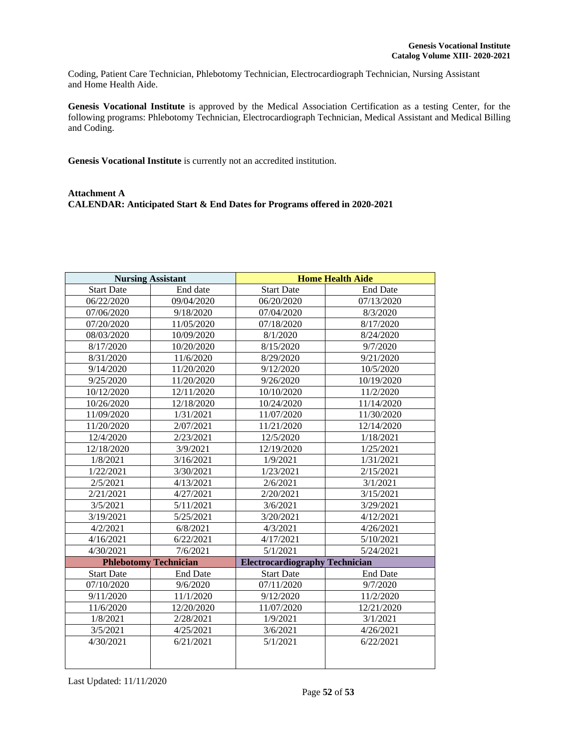Coding, Patient Care Technician, Phlebotomy Technician, Electrocardiograph Technician, Nursing Assistant and Home Health Aide.

**Genesis Vocational Institute** is approved by the Medical Association Certification as a testing Center, for the following programs: Phlebotomy Technician, Electrocardiograph Technician, Medical Assistant and Medical Billing and Coding.

**Genesis Vocational Institute** is currently not an accredited institution.

# <span id="page-52-0"></span>**Attachment A CALENDAR: Anticipated Start & End Dates for Programs offered in 2020-2021**

| <b>Nursing Assistant</b>     |                 | <b>Home Health Aide</b>               |                 |  |
|------------------------------|-----------------|---------------------------------------|-----------------|--|
| <b>Start Date</b>            | End date        | <b>Start Date</b><br><b>End Date</b>  |                 |  |
| 06/22/2020                   | 09/04/2020      | 06/20/2020                            | 07/13/2020      |  |
| 07/06/2020                   | 9/18/2020       | 07/04/2020                            | 8/3/2020        |  |
| 07/20/2020                   | 11/05/2020      | 07/18/2020                            | 8/17/2020       |  |
| 08/03/2020                   | 10/09/2020      | 8/1/2020                              | 8/24/2020       |  |
| 8/17/2020                    | 10/20/2020      | 8/15/2020                             | 9/7/2020        |  |
| 8/31/2020                    | 11/6/2020       | 8/29/2020                             | 9/21/2020       |  |
| 9/14/2020                    | 11/20/2020      | 9/12/2020                             | 10/5/2020       |  |
| 9/25/2020                    | 11/20/2020      | 9/26/2020                             | 10/19/2020      |  |
| 10/12/2020                   | 12/11/2020      | 10/10/2020                            | 11/2/2020       |  |
| 10/26/2020                   | 12/18/2020      | 10/24/2020                            | 11/14/2020      |  |
| 11/09/2020                   | 1/31/2021       | 11/07/2020                            | 11/30/2020      |  |
| 11/20/2020                   | 2/07/2021       | 11/21/2020                            | 12/14/2020      |  |
| 12/4/2020                    | 2/23/2021       | 12/5/2020                             | 1/18/2021       |  |
| 12/18/2020                   | 3/9/2021        | 12/19/2020                            | 1/25/2021       |  |
| 1/8/2021                     | 3/16/2021       | 1/9/2021                              | 1/31/2021       |  |
| 1/22/2021                    | 3/30/2021       | 1/23/2021                             | 2/15/2021       |  |
| 2/5/2021                     | 4/13/2021       | 2/6/2021                              | 3/1/2021        |  |
| 2/21/2021                    | 4/27/2021       | 2/20/2021                             | 3/15/2021       |  |
| 3/5/2021                     | 5/11/2021       | 3/6/2021                              | 3/29/2021       |  |
| 3/19/2021                    | 5/25/2021       | 3/20/2021                             | 4/12/2021       |  |
| 4/2/2021                     | 6/8/2021        | 4/3/2021                              | 4/26/2021       |  |
| 4/16/2021                    | 6/22/2021       | 4/17/2021                             | 5/10/2021       |  |
| 4/30/2021                    | 7/6/2021        | 5/1/2021                              | 5/24/2021       |  |
| <b>Phlebotomy Technician</b> |                 | <b>Electrocardiography Technician</b> |                 |  |
| <b>Start Date</b>            | <b>End Date</b> | <b>Start Date</b>                     | <b>End Date</b> |  |
| 07/10/2020                   | 9/6/2020        | 07/11/2020                            | 9/7/2020        |  |
| 9/11/2020                    | 11/1/2020       | 9/12/2020                             | 11/2/2020       |  |
| 11/6/2020                    | 12/20/2020      | 11/07/2020                            | 12/21/2020      |  |
| 1/8/2021                     | 2/28/2021       | 1/9/2021                              | 3/1/2021        |  |
| 3/5/2021                     | 4/25/2021       | 3/6/2021                              | 4/26/2021       |  |
| 4/30/2021                    | 6/21/2021       | 5/1/2021                              | 6/22/2021       |  |
|                              |                 |                                       |                 |  |